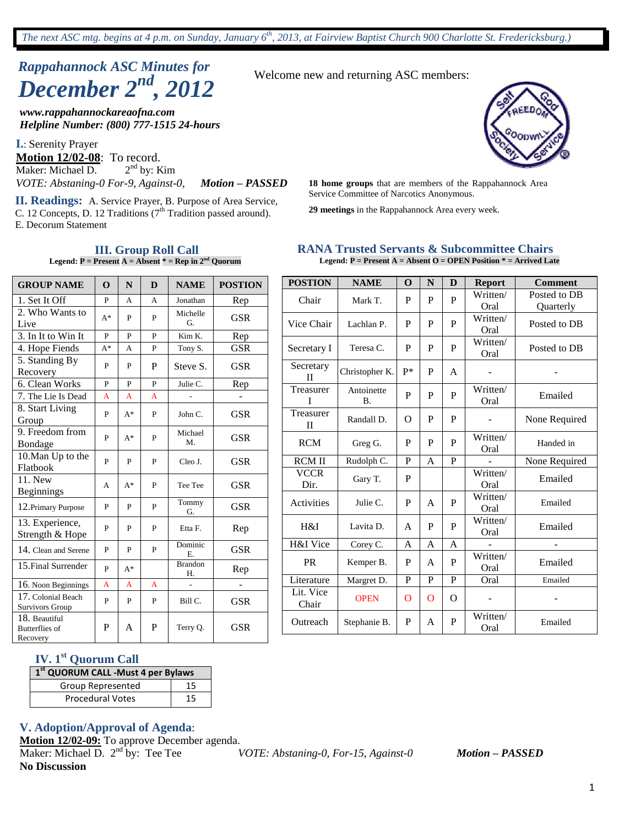# *Rappahannock ASC Minutes for December 2nd , 2012*

*www.rappahannockareaofna.com Helpline Number: (800) 777-1515 24-hours*

**I.**: Serenity Prayer **Motion 12/02-08**: To record. Maker: Michael D. 2  $2<sup>nd</sup>$  by: Kim

**II. Readings:** A. Service Prayer, B. Purpose of Area Service, C. 12 Concepts, D. 12 Traditions  $(7<sup>th</sup>$  Tradition passed around). E. Decorum Statement

> **III. Group Roll Call Legend:**  $P = \text{Present A} = \text{Absent}^* = \text{Rep in } 2^{\text{nd}}$  Quorum

Welcome new and returning ASC members:

*VOTE: Abstaning-0 For-9, Against-0, Motion – PASSED* 18 home groups that are members of the Rappahannock Area<br>Service Committee of Narcotics Anonymous.

**29 meetings** in the Rappahannock Area every week.

#### **RANA Trusted Servants & Subcommittee Chairs Legend: P = Present A = Absent O = OPEN Position \* = Arrived Late**

| <b>GROUP NAME</b>                                  | $\Omega$ | N              | D            | <b>NAME</b>          | <b>POSTION</b> |
|----------------------------------------------------|----------|----------------|--------------|----------------------|----------------|
| 1. Set It Off                                      | P        | A              | A            | Jonathan             | Rep            |
| 2. Who Wants to<br>Live                            | $A^*$    | P              | P            | Michelle<br>G.       | <b>GSR</b>     |
| 3. In It to Win It                                 | P        | P              | P            | Kim K.               | Rep            |
| 4. Hope Fiends                                     | $A^*$    | A              | P            | Tony S.              | <b>GSR</b>     |
| 5. Standing By<br>Recovery                         | P        | P              | P            | Steve S.             | <b>GSR</b>     |
| 6. Clean Works                                     | P        | $\overline{P}$ | $\mathbf{P}$ | Julie C.             | Rep            |
| 7. The Lie Is Dead                                 | A        | $\overline{A}$ | A            |                      |                |
| 8. Start Living<br>Group                           | P        | $A^*$          | P            | John C.              | <b>GSR</b>     |
| 9. Freedom from<br>Bondage                         | P        | $A^*$          | P            | Michael<br>M.        | <b>GSR</b>     |
| 10. Man Up to the<br>Flatbook                      | P        | P              | P            | Cleo J.              | <b>GSR</b>     |
| 11. New<br><b>Beginnings</b>                       | A        | $A^*$          | P            | Tee Tee              | <b>GSR</b>     |
| 12. Primary Purpose                                | P        | P              | P            | Tommy<br>G.          | <b>GSR</b>     |
| 13. Experience,<br>Strength & Hope                 | P        | P              | P            | Etta F.              | Rep            |
| 14. Clean and Serene                               | P        | P              | P            | Dominic<br>Ε.        | <b>GSR</b>     |
| 15. Final Surrender                                | P        | $A^*$          |              | <b>Brandon</b><br>Η. | Rep            |
| 16. Noon Beginnings                                | A        | A              | A            | $\overline{a}$       |                |
| 17. Colonial Beach<br><b>Survivors Group</b>       | P        | P              | P            | Bill C.              | <b>GSR</b>     |
| 18. Beautiful<br><b>Butterflies of</b><br>Recovery | P        | A              | P            | Terry Q.             | <b>GSR</b>     |

| <b>POSTION</b>            | <b>NAME</b>             | $\Omega$     | N | D            | <b>Report</b>    | <b>Comment</b> |
|---------------------------|-------------------------|--------------|---|--------------|------------------|----------------|
| Chair                     | Mark T.                 | P            | P | P            | Written/         | Posted to DB   |
|                           |                         |              |   |              | Oral             | Quarterly      |
| Vice Chair                | Lachlan P.              | P            | P | P            | Written/         | Posted to DB   |
|                           |                         |              |   |              | Oral             |                |
| Secretary I               | Teresa C.               | P            | P | P            | Written/         | Posted to DB   |
|                           |                         |              |   |              | Oral             |                |
| Secretary<br>П            | Christopher K.          | $P*$         | P | A            |                  |                |
| Treasurer<br>T            | Antoinette<br><b>B.</b> | P            | P | P            | Written/<br>Oral | Emailed        |
|                           |                         |              |   |              |                  |                |
| Treasurer<br>$\mathbf{I}$ | Randall D.              | $\Omega$     | P | P            |                  | None Required  |
| <b>RCM</b>                | Greg G.                 | P            | P | P            | Written/<br>Oral | Handed in      |
| <b>RCM II</b>             | Rudolph C.              | $\mathbf{P}$ | A | $\mathbf{P}$ |                  | None Required  |
|                           |                         |              |   |              |                  |                |
| <b>VCCR</b><br>Dir.       | Gary T.                 | P            |   |              | Written/<br>Oral | Emailed        |
| Activities                | Julie C.                | P            | A | P            | Written/<br>Oral | Emailed        |
|                           |                         |              |   |              | Written/         |                |
| H&I                       | Lavita D.               | A            | P | P            | Oral             | Emailed        |
| H&I Vice                  | Corey C.                | A            | A | A            |                  |                |
| <b>PR</b>                 | Kemper B.               | P            | A | P            | Written/<br>Oral | Emailed        |
| Literature                | Margret D.              | P            | P | $\mathbf{P}$ | Oral             | Emailed        |
| Lit. Vice<br>Chair        | <b>OPEN</b>             | $\Omega$     | O | O            |                  |                |
| Outreach                  | Stephanie B.            | P            | A | P            | Written/<br>Oral | Emailed        |

# **IV. 1st Quorum Call**

| 1 <sup>st</sup> QUORUM CALL -Must 4 per Bylaws |    |
|------------------------------------------------|----|
| Group Represented                              | 15 |
| <b>Procedural Votes</b>                        | 15 |

# **V. Adoption/Approval of Agenda**:

**Motion 12/02-09:** To approve December agenda.

Maker: Michael D. 2<sup>nd</sup> by: Tee Tee nd by: Tee Tee *VOTE: Abstaning-0, For-15, Against-0 Motion – PASSED* **No Discussion**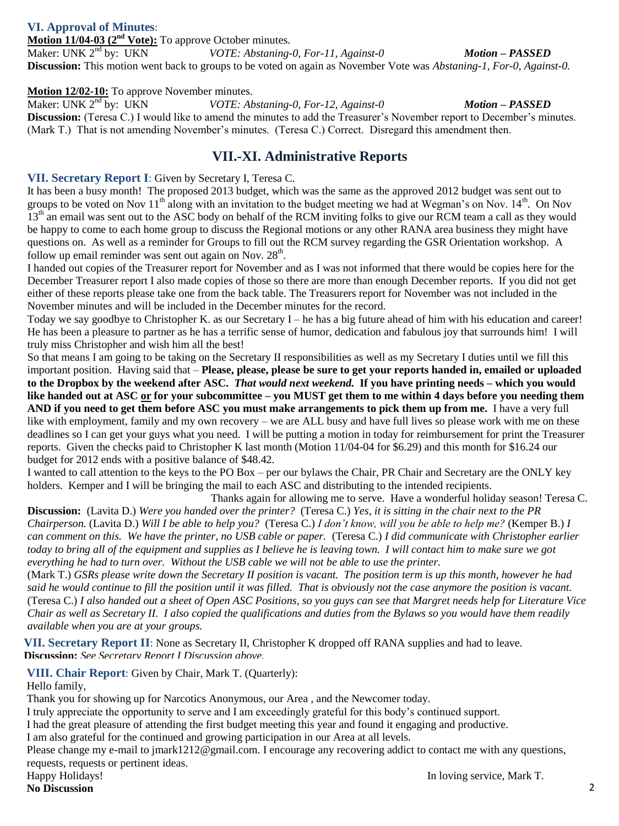# **VI. Approval of Minutes**:

**Motion 11/04-03 (2nd Vote):** To approve October minutes. Maker: UNK  $2<sup>nd</sup>$  by: UKN

nd by: UKN *VOTE: Abstaning-0, For-11, Against-0 Motion – PASSED*

**Discussion:** This motion went back to groups to be voted on again as November Vote was *Abstaning-1, For-0, Against-0.*

# **Motion 12/02-10:** To approve November minutes.<br>Maker: UNK 2<sup>nd</sup> by: UKN *VOTE: Ab*

VOTE: Abstaning-0, For-12, Against-0 *Motion – PASSED* **Discussion:** (Teresa C.) I would like to amend the minutes to add the Treasurer's November report to December's minutes. (Mark T.) That is not amending November's minutes. (Teresa C.) Correct. Disregard this amendment then.

# **VII.-XI. Administrative Reports**

### **VII. Secretary Report I**: Given by Secretary I, Teresa C.

It has been a busy month! The proposed 2013 budget, which was the same as the approved 2012 budget was sent out to groups to be voted on Nov 11<sup>th</sup> along with an invitation to the budget meeting we had at Wegman's on Nov. 14<sup>th</sup>. On Nov  $13<sup>th</sup>$  an email was sent out to the ASC body on behalf of the RCM inviting folks to give our RCM team a call as they would be happy to come to each home group to discuss the Regional motions or any other RANA area business they might have questions on. As well as a reminder for Groups to fill out the RCM survey regarding the GSR Orientation workshop. A follow up email reminder was sent out again on Nov.  $28<sup>th</sup>$ .

I handed out copies of the Treasurer report for November and as I was not informed that there would be copies here for the December Treasurer report I also made copies of those so there are more than enough December reports. If you did not get either of these reports please take one from the back table. The Treasurers report for November was not included in the November minutes and will be included in the December minutes for the record.

Today we say goodbye to Christopher K. as our Secretary I – he has a big future ahead of him with his education and career! He has been a pleasure to partner as he has a terrific sense of humor, dedication and fabulous joy that surrounds him! I will truly miss Christopher and wish him all the best!

So that means I am going to be taking on the Secretary II responsibilities as well as my Secretary I duties until we fill this important position. Having said that – **Please, please, please be sure to get your reports handed in, emailed or uploaded to the Dropbox by the weekend after ASC.** *That would next weekend.* **If you have printing needs – which you would like handed out at ASC or for your subcommittee – you MUST get them to me within 4 days before you needing them AND if you need to get them before ASC you must make arrangements to pick them up from me.** I have a very full like with employment, family and my own recovery – we are ALL busy and have full lives so please work with me on these deadlines so I can get your guys what you need. I will be putting a motion in today for reimbursement for print the Treasurer reports. Given the checks paid to Christopher K last month (Motion 11/04-04 for \$6.29) and this month for \$16.24 our budget for 2012 ends with a positive balance of \$48.42.

I wanted to call attention to the keys to the PO Box – per our bylaws the Chair, PR Chair and Secretary are the ONLY key holders. Kemper and I will be bringing the mail to each ASC and distributing to the intended recipients.

Thanks again for allowing me to serve. Have a wonderful holiday season! Teresa C. **Discussion:** (Lavita D.) *Were you handed over the printer?* (Teresa C.) *Yes, it is sitting in the chair next to the PR Chairperson.* (Lavita D.) *Will I be able to help you?* (Teresa C.) *I don't know, will you be able to help me?* (Kemper B.) *I can comment on this. We have the printer, no USB cable or paper.* (Teresa C.) *I did communicate with Christopher earlier today to bring all of the equipment and supplies as I believe he is leaving town. I will contact him to make sure we got everything he had to turn over. Without the USB cable we will not be able to use the printer.*

(Mark T.) *GSRs please write down the Secretary II position is vacant. The position term is up this month, however he had said he would continue to fill the position until it was filled. That is obviously not the case anymore the position is vacant.* (Teresa C.) *I also handed out a sheet of Open ASC Positions, so you guys can see that Margret needs help for Literature Vice Chair as well as Secretary II. I also copied the qualifications and duties from the Bylaws so you would have them readily available when you are at your groups.*

**VII. Secretary Report II**: None as Secretary II, Christopher K dropped off RANA supplies and had to leave. **Discussion:** *See Secretary Report I Discussion above.*

**VIII. Chair Report**: Given by Chair, Mark T. (Quarterly):

Hello family,

Thank you for showing up for Narcotics Anonymous, our Area , and the Newcomer today.

I truly appreciate the opportunity to serve and I am exceedingly grateful for this body's continued support.

I had the great pleasure of attending the first budget meeting this year and found it engaging and productive.

I am also grateful for the continued and growing participation in our Area at all levels.

Please change my e-mail to jmark1212@gmail.com. I encourage any recovering addict to contact me with any questions, requests, requests or pertinent ideas.

**No Discussion**

Happy Holidays! In loving service, Mark T.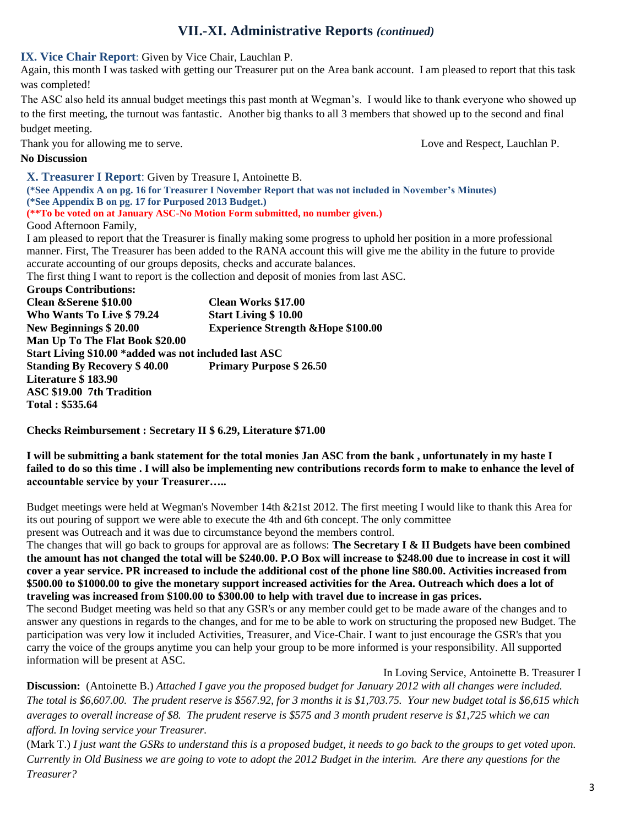# **VII.-XI. Administrative Reports** *(continued)*

**IX. Vice Chair Report**: Given by Vice Chair, Lauchlan P.

Again, this month I was tasked with getting our Treasurer put on the Area bank account. I am pleased to report that this task was completed!

The ASC also held its annual budget meetings this past month at Wegman's. I would like to thank everyone who showed up to the first meeting, the turnout was fantastic. Another big thanks to all 3 members that showed up to the second and final budget meeting.

Thank you for allowing me to serve. Love and Respect, Lauchlan P.

### **No Discussion**

**X. Treasurer I Report**: Given by Treasure I, Antoinette B.

**(\*See Appendix A on pg. 16 for Treasurer I November Report that was not included in November's Minutes) (\*See Appendix B on pg. 17 for Purposed 2013 Budget.)**

**(\*\*To be voted on at January ASC-No Motion Form submitted, no number given.)**

Good Afternoon Family,

I am pleased to report that the Treasurer is finally making some progress to uphold her position in a more professional manner. First, The Treasurer has been added to the RANA account this will give me the ability in the future to provide accurate accounting of our groups deposits, checks and accurate balances.

The first thing I want to report is the collection and deposit of monies from last ASC.

**Groups Contributions: Clean &Serene \$10.00 Clean Works \$17.00 Who Wants To Live \$ 79.24 Start Living \$ 10.00 New Beginnings \$ 20.00 Experience Strength &Hope \$100.00 Man Up To The Flat Book \$20.00 Start Living \$10.00 \*added was not included last ASC Standing By Recovery \$ 40.00 Primary Purpose \$ 26.50 Literature \$ 183.90 ASC \$19.00 7th Tradition Total : \$535.64**

**Checks Reimbursement : Secretary II \$ 6.29, Literature \$71.00**

**I will be submitting a bank statement for the total monies Jan ASC from the bank , unfortunately in my haste I failed to do so this time . I will also be implementing new contributions records form to make to enhance the level of accountable service by your Treasurer…..**

Budget meetings were held at Wegman's November 14th &21st 2012. The first meeting I would like to thank this Area for its out pouring of support we were able to execute the 4th and 6th concept. The only committee

present was Outreach and it was due to circumstance beyond the members control.

The changes that will go back to groups for approval are as follows: **The Secretary I & II Budgets have been combined the amount has not changed the total will be \$240.00. P.O Box will increase to \$248.00 due to increase in cost it will cover a year service. PR increased to include the additional cost of the phone line \$80.00. Activities increased from \$500.00 to \$1000.00 to give the monetary support increased activities for the Area. Outreach which does a lot of traveling was increased from \$100.00 to \$300.00 to help with travel due to increase in gas prices.**

The second Budget meeting was held so that any GSR's or any member could get to be made aware of the changes and to answer any questions in regards to the changes, and for me to be able to work on structuring the proposed new Budget. The participation was very low it included Activities, Treasurer, and Vice-Chair. I want to just encourage the GSR's that you carry the voice of the groups anytime you can help your group to be more informed is your responsibility. All supported information will be present at ASC.

In Loving Service, Antoinette B. Treasurer I

**Discussion:** (Antoinette B.) *Attached I gave you the proposed budget for January 2012 with all changes were included. The total is \$6,607.00. The prudent reserve is \$567.92, for 3 months it is \$1,703.75. Your new budget total is \$6,615 which averages to overall increase of \$8. The prudent reserve is \$575 and 3 month prudent reserve is \$1,725 which we can afford. In loving service your Treasurer.*

(Mark T.) *I just want the GSRs to understand this is a proposed budget, it needs to go back to the groups to get voted upon. Currently in Old Business we are going to vote to adopt the 2012 Budget in the interim. Are there any questions for the Treasurer?*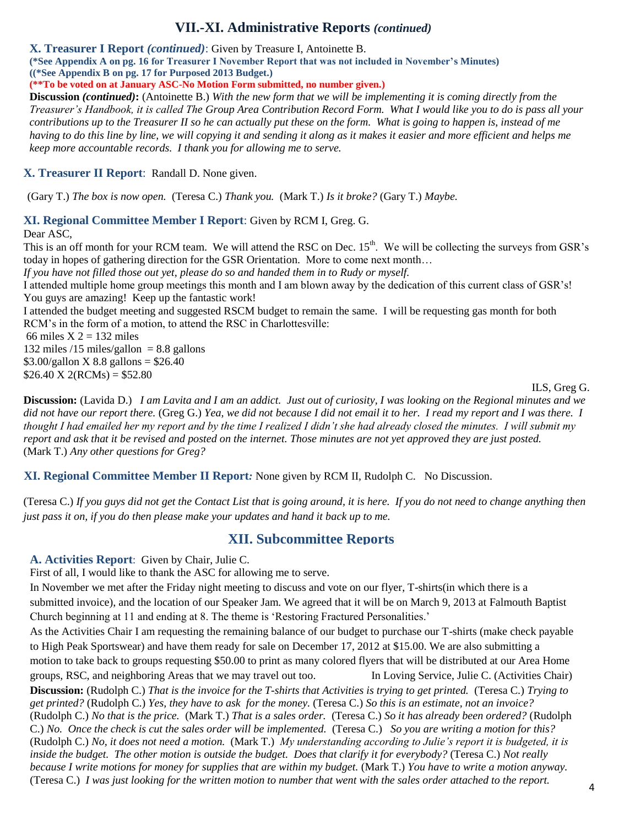# **VII.-XI. Administrative Reports** *(continued)*

**X. Treasurer I Report** *(continued)*: Given by Treasure I, Antoinette B.

**(\*See Appendix A on pg. 16 for Treasurer I November Report that was not included in November's Minutes)**

**((\*See Appendix B on pg. 17 for Purposed 2013 Budget.)**

**(\*\*To be voted on at January ASC-No Motion Form submitted, no number given.)**

**Discussion** *(continued)***:** (Antoinette B.) *With the new form that we will be implementing it is coming directly from the Treasurer's Handbook, it is called The Group Area Contribution Record Form. What I would like you to do is pass all your contributions up to the Treasurer II so he can actually put these on the form. What is going to happen is, instead of me having to do this line by line, we will copying it and sending it along as it makes it easier and more efficient and helps me keep more accountable records. I thank you for allowing me to serve.* 

# **X. Treasurer II Report**: Randall D. None given.

(Gary T.) *The box is now open.* (Teresa C.) *Thank you.* (Mark T.) *Is it broke?* (Gary T.) *Maybe.*

### **XI. Regional Committee Member I Report**: Given by RCM I, Greg. G.

Dear ASC,

This is an off month for your RCM team. We will attend the RSC on Dec. 15<sup>th</sup>. We will be collecting the surveys from GSR's today in hopes of gathering direction for the GSR Orientation. More to come next month…

*If you have not filled those out yet, please do so and handed them in to Rudy or myself.*

I attended multiple home group meetings this month and I am blown away by the dedication of this current class of GSR's! You guys are amazing! Keep up the fantastic work!

I attended the budget meeting and suggested RSCM budget to remain the same. I will be requesting gas month for both RCM's in the form of a motion, to attend the RSC in Charlottesville:

66 miles  $X$  2 = 132 miles

132 miles  $/15$  miles/gallon = 8.8 gallons  $$3.00/gallon X 8.8 gallons = $26.40$  $$26.40 \text{ X } 2(\text{RCMs}) = $52.80$ 

ILS, Greg G.

**Discussion:** (Lavida D.) *I am Lavita and I am an addict. Just out of curiosity, I was looking on the Regional minutes and we did not have our report there.* (Greg G.) *Yea, we did not because I did not email it to her. I read my report and I was there. I thought I had emailed her my report and by the time I realized I didn't she had already closed the minutes. I will submit my report and ask that it be revised and posted on the internet. Those minutes are not yet approved they are just posted.*  (Mark T.) *Any other questions for Greg?*

**XI. Regional Committee Member II Report***:* None given by RCM II, Rudolph C. No Discussion.

(Teresa C.) *If you guys did not get the Contact List that is going around, it is here. If you do not need to change anything then just pass it on, if you do then please make your updates and hand it back up to me.*

# **XII. Subcommittee Reports**

**A. Activities Report**: Given by Chair, Julie C.

First of all, I would like to thank the ASC for allowing me to serve.

In November we met after the Friday night meeting to discuss and vote on our flyer, T-shirts(in which there is a submitted invoice), and the location of our Speaker Jam. We agreed that it will be on March 9, 2013 at Falmouth Baptist Church beginning at 11 and ending at 8. The theme is 'Restoring Fractured Personalities.'

As the Activities Chair I am requesting the remaining balance of our budget to purchase our T-shirts (make check payable to High Peak Sportswear) and have them ready for sale on December 17, 2012 at \$15.00. We are also submitting a motion to take back to groups requesting \$50.00 to print as many colored flyers that will be distributed at our Area Home groups, RSC, and neighboring Areas that we may travel out too. In Loving Service, Julie C. (Activities Chair) **Discussion:** (Rudolph C.) *That is the invoice for the T-shirts that Activities is trying to get printed.* (Teresa C.) *Trying to get printed?* (Rudolph C.) *Yes, they have to ask for the money.* (Teresa C.) *So this is an estimate, not an invoice?* (Rudolph C.) *No that is the price.* (Mark T.) *That is a sales order.* (Teresa C.) *So it has already been ordered?* (Rudolph C.) *No. Once the check is cut the sales order will be implemented.* (Teresa C.) *So you are writing a motion for this?* (Rudolph C.) *No, it does not need a motion.* (Mark T.) *My understanding according to Julie's report it is budgeted, it is inside the budget. The other motion is outside the budget. Does that clarify it for everybody?* (Teresa C.) *Not really because I write motions for money for supplies that are within my budget.* (Mark T.) *You have to write a motion anyway.*  (Teresa C.) *I was just looking for the written motion to number that went with the sales order attached to the report.*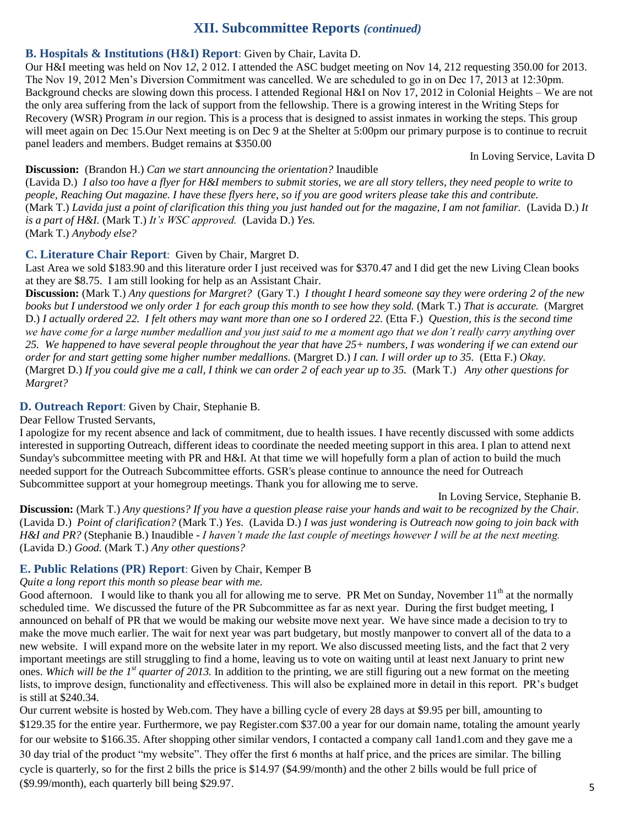# **XII. Subcommittee Reports** *(continued)*

### **B. Hospitals & Institutions (H&I) Report**: Given by Chair, Lavita D.

Our H&I meeting was held on Nov 1*2*, 2 012. I attended the ASC budget meeting on Nov 14, 212 requesting 350.00 for 2013. The Nov 19, 2012 Men's Diversion Commitment was cancelled. We are scheduled to go in on Dec 17, 2013 at 12:30pm. Background checks are slowing down this process. I attended Regional H&I on Nov 17, 2012 in Colonial Heights – We are not the only area suffering from the lack of support from the fellowship. There is a growing interest in the Writing Steps for Recovery (WSR) Program *in* our region. This is a process that is designed to assist inmates in working the steps. This group will meet again on Dec 15.Our Next meeting is on Dec 9 at the Shelter at 5:00pm our primary purpose is to continue to recruit panel leaders and members. Budget remains at \$350.00

In Loving Service, Lavita D

### **Discussion:** (Brandon H.) *Can we start announcing the orientation?* Inaudible

(Lavida D.) *I also too have a flyer for H&I members to submit stories, we are all story tellers, they need people to write to people, Reaching Out magazine. I have these flyers here, so if you are good writers please take this and contribute.*  (Mark T.) *Lavida just a point of clarification this thing you just handed out for the magazine, I am not familiar.* (Lavida D.) *It is a part of H&I.* (Mark T.) *It's WSC approved.* (Lavida D.) *Yes.* (Mark T.) *Anybody else?*

# **C. Literature Chair Report**: Given by Chair, Margret D.

Last Area we sold \$183.90 and this literature order I just received was for \$370.47 and I did get the new Living Clean books at they are \$8.75. I am still looking for help as an Assistant Chair.

**Discussion:** (Mark T.) *Any questions for Margret?* (Gary T.) *I thought I heard someone say they were ordering 2 of the new books but I understood we only order 1 for each group this month to see how they sold.* (Mark T.) *That is accurate.* (Margret D.) *I actually ordered 22. I felt others may want more than one so I ordered 22.* (Etta F.) *Question, this is the second time we have come for a large number medallion and you just said to me a moment ago that we don't really carry anything over 25. We happened to have several people throughout the year that have 25+ numbers, I was wondering if we can extend our order for and start getting some higher number medallions.* (Margret D.) *I can. I will order up to 35.* (Etta F.) *Okay.*  (Margret D.) *If you could give me a call, I think we can order 2 of each year up to 35.* (Mark T.) *Any other questions for Margret?*

# **D. Outreach Report**: Given by Chair, Stephanie B.

Dear Fellow Trusted Servants,

I apologize for my recent absence and lack of commitment, due to health issues. I have recently discussed with some addicts interested in supporting Outreach, different ideas to coordinate the needed meeting support in this area. I plan to attend next Sunday's subcommittee meeting with PR and H&I. At that time we will hopefully form a plan of action to build the much needed support for the Outreach Subcommittee efforts. GSR's please continue to announce the need for Outreach Subcommittee support at your homegroup meetings. Thank you for allowing me to serve.

In Loving Service, Stephanie B.

**Discussion:** (Mark T.) *Any questions? If you have a question please raise your hands and wait to be recognized by the Chair.*  (Lavida D.) *Point of clarification?* (Mark T.) *Yes.* (Lavida D.) *I was just wondering is Outreach now going to join back with H&I and PR?* (Stephanie B.) Inaudible - *I haven't made the last couple of meetings however I will be at the next meeting.* (Lavida D.) *Good.* (Mark T.) *Any other questions?*

### **E. Public Relations (PR) Report**: Given by Chair, Kemper B

*Quite a long report this month so please bear with me.*

Good afternoon. I would like to thank you all for allowing me to serve. PR Met on Sunday, November 11<sup>th</sup> at the normally scheduled time. We discussed the future of the PR Subcommittee as far as next year. During the first budget meeting, I announced on behalf of PR that we would be making our website move next year. We have since made a decision to try to make the move much earlier. The wait for next year was part budgetary, but mostly manpower to convert all of the data to a new website. I will expand more on the website later in my report. We also discussed meeting lists, and the fact that 2 very important meetings are still struggling to find a home, leaving us to vote on waiting until at least next January to print new ones. *Which will be the 1st quarter of 2013.* In addition to the printing, we are still figuring out a new format on the meeting lists, to improve design, functionality and effectiveness. This will also be explained more in detail in this report. PR's budget is still at \$240.34.

Our current website is hosted by Web.com. They have a billing cycle of every 28 days at \$9.95 per bill, amounting to \$129.35 for the entire year. Furthermore, we pay Register.com \$37.00 a year for our domain name, totaling the amount yearly for our website to \$166.35. After shopping other similar vendors, I contacted a company call 1and1.com and they gave me a 30 day trial of the product "my website". They offer the first 6 months at half price, and the prices are similar. The billing cycle is quarterly, so for the first 2 bills the price is \$14.97 (\$4.99/month) and the other 2 bills would be full price of (\$9.99/month), each quarterly bill being \$29.97.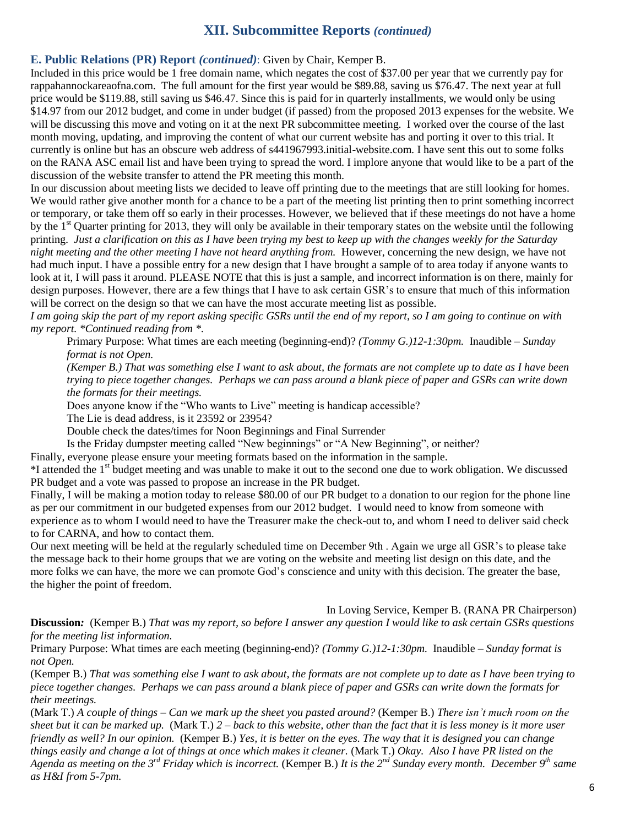# **XII. Subcommittee Reports** *(continued)*

### **E. Public Relations (PR) Report** *(continued)*: Given by Chair, Kemper B.

Included in this price would be 1 free domain name, which negates the cost of \$37.00 per year that we currently pay for rappahannockareaofna.com. The full amount for the first year would be \$89.88, saving us \$76.47. The next year at full price would be \$119.88, still saving us \$46.47. Since this is paid for in quarterly installments, we would only be using \$14.97 from our 2012 budget, and come in under budget (if passed) from the proposed 2013 expenses for the website. We will be discussing this move and voting on it at the next PR subcommittee meeting. I worked over the course of the last month moving, updating, and improving the content of what our current website has and porting it over to this trial. It currently is online but has an obscure web address of s441967993.initial-website.com. I have sent this out to some folks on the RANA ASC email list and have been trying to spread the word. I implore anyone that would like to be a part of the discussion of the website transfer to attend the PR meeting this month.

In our discussion about meeting lists we decided to leave off printing due to the meetings that are still looking for homes. We would rather give another month for a chance to be a part of the meeting list printing then to print something incorrect or temporary, or take them off so early in their processes. However, we believed that if these meetings do not have a home by the 1<sup>st</sup> Quarter printing for 2013, they will only be available in their temporary states on the website until the following printing. *Just a clarification on this as I have been trying my best to keep up with the changes weekly for the Saturday night meeting and the other meeting I have not heard anything from.* However, concerning the new design, we have not had much input. I have a possible entry for a new design that I have brought a sample of to area today if anyone wants to look at it, I will pass it around. PLEASE NOTE that this is just a sample, and incorrect information is on there, mainly for design purposes. However, there are a few things that I have to ask certain GSR's to ensure that much of this information will be correct on the design so that we can have the most accurate meeting list as possible.

*I am going skip the part of my report asking specific GSRs until the end of my report, so I am going to continue on with my report. \*Continued reading from \*.*

Primary Purpose: What times are each meeting (beginning-end)? *(Tommy G.)12-1:30pm.* Inaudible – *Sunday format is not Open.*

*(Kemper B.) That was something else I want to ask about, the formats are not complete up to date as I have been trying to piece together changes. Perhaps we can pass around a blank piece of paper and GSRs can write down the formats for their meetings.*

Does anyone know if the "Who wants to Live" meeting is handicap accessible?

The Lie is dead address, is it 23592 or 23954?

Double check the dates/times for Noon Beginnings and Final Surrender

Is the Friday dumpster meeting called "New beginnings" or "A New Beginning", or neither?

Finally, everyone please ensure your meeting formats based on the information in the sample.

<sup>\*</sup>I attended the 1<sup>st</sup> budget meeting and was unable to make it out to the second one due to work obligation. We discussed PR budget and a vote was passed to propose an increase in the PR budget.

Finally, I will be making a motion today to release \$80.00 of our PR budget to a donation to our region for the phone line as per our commitment in our budgeted expenses from our 2012 budget. I would need to know from someone with experience as to whom I would need to have the Treasurer make the check-out to, and whom I need to deliver said check to for CARNA, and how to contact them.

Our next meeting will be held at the regularly scheduled time on December 9th . Again we urge all GSR's to please take the message back to their home groups that we are voting on the website and meeting list design on this date, and the more folks we can have, the more we can promote God's conscience and unity with this decision. The greater the base, the higher the point of freedom.

In Loving Service, Kemper B. (RANA PR Chairperson)

**Discussion***:* (Kemper B.) *That was my report, so before I answer any question I would like to ask certain GSRs questions for the meeting list information.*

Primary Purpose: What times are each meeting (beginning-end)? *(Tommy G.)12-1:30pm.* Inaudible – *Sunday format is not Open.*

(Kemper B.) *That was something else I want to ask about, the formats are not complete up to date as I have been trying to piece together changes. Perhaps we can pass around a blank piece of paper and GSRs can write down the formats for their meetings.*

(Mark T.) *A couple of things – Can we mark up the sheet you pasted around?* (Kemper B.) *There isn't much room on the sheet but it can be marked up.* (Mark T.) *2 – back to this website, other than the fact that it is less money is it more user friendly as well? In our opinion.* (Kemper B.) *Yes, it is better on the eyes. The way that it is designed you can change things easily and change a lot of things at once which makes it cleaner.* (Mark T.) *Okay. Also I have PR listed on the Agenda as meeting on the 3rd Friday which is incorrect.* (Kemper B.) *It is the 2nd Sunday every month. December 9th same as H&I from 5-7pm.*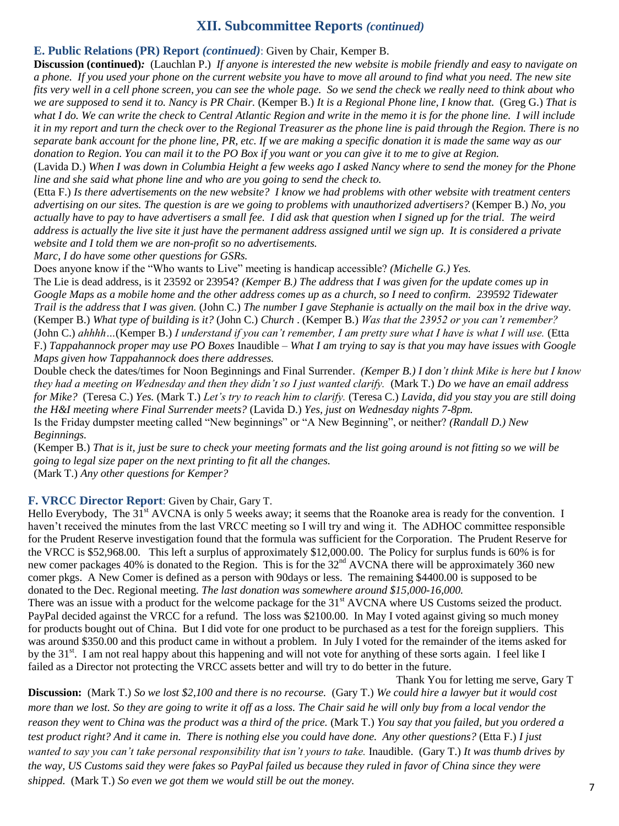# **XII. Subcommittee Reports** *(continued)*

### **E. Public Relations (PR) Report** *(continued)*: Given by Chair, Kemper B.

**Discussion (continued)***:* (Lauchlan P.) *If anyone is interested the new website is mobile friendly and easy to navigate on a phone. If you used your phone on the current website you have to move all around to find what you need. The new site fits very well in a cell phone screen, you can see the whole page. So we send the check we really need to think about who we are supposed to send it to. Nancy is PR Chair.* (Kemper B.) *It is a Regional Phone line, I know that.* (Greg G.) *That is what I do. We can write the check to Central Atlantic Region and write in the memo it is for the phone line. I will include it in my report and turn the check over to the Regional Treasurer as the phone line is paid through the Region. There is no separate bank account for the phone line, PR, etc. If we are making a specific donation it is made the same way as our donation to Region. You can mail it to the PO Box if you want or you can give it to me to give at Region.* 

(Lavida D.) *When I was down in Columbia Height a few weeks ago I asked Nancy where to send the money for the Phone line and she said what phone line and who are you going to send the check to.*

(Etta F.) *Is there advertisements on the new website? I know we had problems with other website with treatment centers advertising on our sites. The question is are we going to problems with unauthorized advertisers?* (Kemper B.) *No, you actually have to pay to have advertisers a small fee. I did ask that question when I signed up for the trial. The weird address is actually the live site it just have the permanent address assigned until we sign up. It is considered a private website and I told them we are non-profit so no advertisements.*

*Marc, I do have some other questions for GSRs.*

Does anyone know if the "Who wants to Live" meeting is handicap accessible? *(Michelle G.) Yes.*

The Lie is dead address, is it 23592 or 23954? *(Kemper B.) The address that I was given for the update comes up in Google Maps as a mobile home and the other address comes up as a church, so I need to confirm. 239592 Tidewater Trail is the address that I was given.* (John C.) *The number I gave Stephanie is actually on the mail box in the drive way.*  (Kemper B.) *What type of building is it?* (John C.) *Church* . (Kemper B.) *Was that the 23952 or you can't remember?*  (John C.) *ahhhh…*(Kemper B.) *I understand if you can't remember, I am pretty sure what I have is what I will use.* (Etta F.) *Tappahannock proper may use PO Boxes* Inaudible – *What I am trying to say is that you may have issues with Google Maps given how Tappahannock does there addresses.*

Double check the dates/times for Noon Beginnings and Final Surrender. *(Kemper B.) I don't think Mike is here but I know they had a meeting on Wednesday and then they didn't so I just wanted clarify.* (Mark T.) *Do we have an email address for Mike?* (Teresa C.) *Yes.* (Mark T.) *Let's try to reach him to clarify.* (Teresa C.) *Lavida, did you stay you are still doing the H&I meeting where Final Surrender meets?* (Lavida D.) *Yes, just on Wednesday nights 7-8pm.*

Is the Friday dumpster meeting called "New beginnings" or "A New Beginning", or neither? *(Randall D.) New Beginnings.*

(Kemper B.) *That is it, just be sure to check your meeting formats and the list going around is not fitting so we will be going to legal size paper on the next printing to fit all the changes.*  (Mark T.) *Any other questions for Kemper?*

### **F. VRCC Director Report**: Given by Chair, Gary T.

Hello Everybody. The  $31<sup>st</sup>$  AVCNA is only 5 weeks away; it seems that the Roanoke area is ready for the convention. I haven't received the minutes from the last VRCC meeting so I will try and wing it. The ADHOC committee responsible for the Prudent Reserve investigation found that the formula was sufficient for the Corporation. The Prudent Reserve for the VRCC is \$52,968.00. This left a surplus of approximately \$12,000.00. The Policy for surplus funds is 60% is for new comer packages 40% is donated to the Region. This is for the 32<sup>nd</sup> AVCNA there will be approximately 360 new comer pkgs. A New Comer is defined as a person with 90days or less. The remaining \$4400.00 is supposed to be donated to the Dec. Regional meeting. *The last donation was somewhere around \$15,000-16,000.*

There was an issue with a product for the welcome package for the 31<sup>st</sup> AVCNA where US Customs seized the product. PayPal decided against the VRCC for a refund. The loss was \$2100.00. In May I voted against giving so much money for products bought out of China. But I did vote for one product to be purchased as a test for the foreign suppliers. This was around \$350.00 and this product came in without a problem. In July I voted for the remainder of the items asked for by the 31<sup>st</sup>. I am not real happy about this happening and will not vote for anything of these sorts again. I feel like I failed as a Director not protecting the VRCC assets better and will try to do better in the future.

Thank You for letting me serve, Gary T **Discussion:** (Mark T.) *So we lost \$2,100 and there is no recourse.* (Gary T.) *We could hire a lawyer but it would cost more than we lost. So they are going to write it off as a loss. The Chair said he will only buy from a local vendor the reason they went to China was the product was a third of the price.* (Mark T.) *You say that you failed, but you ordered a test product right? And it came in. There is nothing else you could have done. Any other questions?* (Etta F.) *I just wanted to say you can't take personal responsibility that isn't yours to take.* Inaudible. (Gary T.) *It was thumb drives by the way, US Customs said they were fakes so PayPal failed us because they ruled in favor of China since they were shipped.* (Mark T.) *So even we got them we would still be out the money.*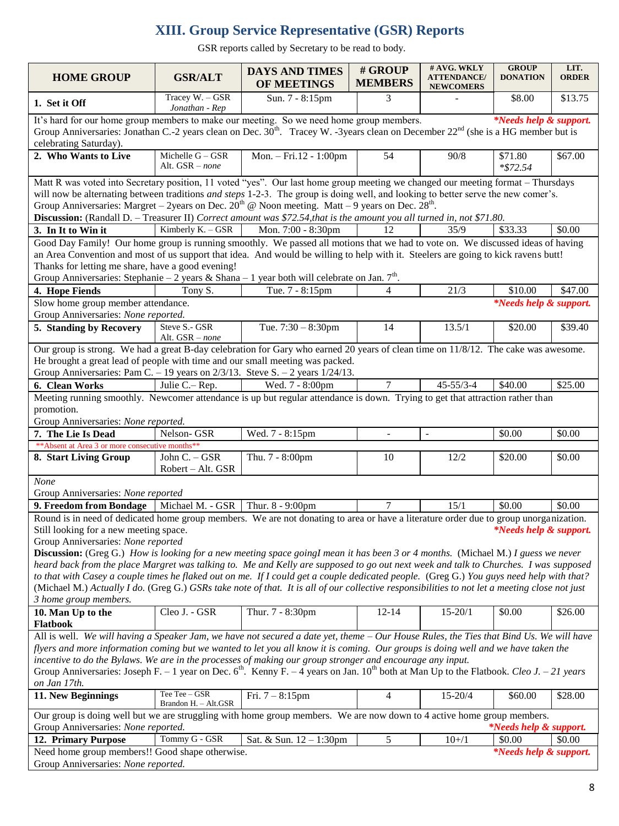# **XIII. Group Service Representative (GSR) Reports**

GSR reports called by Secretary to be read to body.

| <b>HOME GROUP</b>                                                                                                                                                                       | <b>GSR/ALT</b>                                                                                                                           | <b>DAYS AND TIMES</b><br><b>OF MEETINGS</b> | # GROUP<br><b>MEMBERS</b> | # AVG. WKLY<br><b>ATTENDANCE/</b><br><b>NEWCOMERS</b> | <b>GROUP</b><br><b>DONATION</b>   | LIT.<br><b>ORDER</b> |  |
|-----------------------------------------------------------------------------------------------------------------------------------------------------------------------------------------|------------------------------------------------------------------------------------------------------------------------------------------|---------------------------------------------|---------------------------|-------------------------------------------------------|-----------------------------------|----------------------|--|
| 1. Set it Off                                                                                                                                                                           | Tracey W. - GSR<br>Jonathan - Rep                                                                                                        | Sun. 7 - 8:15pm                             | 3                         |                                                       | \$8.00                            | \$13.75              |  |
| It's hard for our home group members to make our meeting. So we need home group members.                                                                                                |                                                                                                                                          |                                             |                           |                                                       | <i>*Needs help &amp; support.</i> |                      |  |
| Group Anniversaries: Jonathan C.-2 years clean on Dec. 30 <sup>th</sup> . Tracey W. -3years clean on December 22 <sup>nd</sup> (she is a HG member but is<br>celebrating Saturday).     |                                                                                                                                          |                                             |                           |                                                       |                                   |                      |  |
| 2. Who Wants to Live                                                                                                                                                                    | Michelle $G - GSR$<br>Alt. GSR - none                                                                                                    | Mon. - Fri.12 - 1:00pm                      | 54                        | 90/8                                                  | \$71.80<br>$*$ \$72.54            | \$67.00              |  |
| Matt R was voted into Secretary position, 11 voted "yes". Our last home group meeting we changed our meeting format – Thursdays                                                         |                                                                                                                                          |                                             |                           |                                                       |                                   |                      |  |
|                                                                                                                                                                                         | will now be alternating between traditions <i>and steps</i> 1-2-3. The group is doing well, and looking to better serve the new comer's. |                                             |                           |                                                       |                                   |                      |  |
| Group Anniversaries: Margret – 2years on Dec. $20^{th}$ @ Noon meeting. Matt – 9 years on Dec. $28^{th}$ .                                                                              |                                                                                                                                          |                                             |                           |                                                       |                                   |                      |  |
| Discussion: (Randall D. - Treasurer II) Correct amount was \$72.54, that is the amount you all turned in, not \$71.80.                                                                  |                                                                                                                                          |                                             |                           |                                                       |                                   |                      |  |
| 3. In It to Win it                                                                                                                                                                      | Kimberly K. - GSR                                                                                                                        | Mon. 7:00 - 8:30pm                          | 12                        | 35/9                                                  | \$33.33                           | \$0.00               |  |
| Good Day Family! Our home group is running smoothly. We passed all motions that we had to vote on. We discussed ideas of having                                                         |                                                                                                                                          |                                             |                           |                                                       |                                   |                      |  |
| an Area Convention and most of us support that idea. And would be willing to help with it. Steelers are going to kick ravens butt!<br>Thanks for letting me share, have a good evening! |                                                                                                                                          |                                             |                           |                                                       |                                   |                      |  |
| Group Anniversaries: Stephanie – 2 years & Shana – 1 year both will celebrate on Jan. $7th$ .                                                                                           |                                                                                                                                          |                                             |                           |                                                       |                                   |                      |  |
| 4. Hope Fiends                                                                                                                                                                          | Tony S.                                                                                                                                  | Tue. 7 - 8:15pm                             | 4                         | 21/3                                                  | \$10.00                           | \$47.00              |  |
| Slow home group member attendance.                                                                                                                                                      |                                                                                                                                          |                                             |                           |                                                       | <i>*Needs help &amp; support.</i> |                      |  |
| Group Anniversaries: None reported.                                                                                                                                                     |                                                                                                                                          |                                             |                           |                                                       |                                   |                      |  |
| 5. Standing by Recovery                                                                                                                                                                 | Steve S.- GSR<br>Alt. GSR - none                                                                                                         | Tue. $7:30 - 8:30$ pm                       | 14                        | 13.5/1                                                | \$20.00                           | \$39.40              |  |
| Our group is strong. We had a great B-day celebration for Gary who earned 20 years of clean time on 11/8/12. The cake was awesome.                                                      |                                                                                                                                          |                                             |                           |                                                       |                                   |                      |  |
| He brought a great lead of people with time and our small meeting was packed.                                                                                                           |                                                                                                                                          |                                             |                           |                                                       |                                   |                      |  |
| Group Anniversaries: Pam C. - 19 years on $2/3/13$ . Steve S. - 2 years $1/24/13$ .                                                                                                     |                                                                                                                                          |                                             |                           |                                                       |                                   |                      |  |
| 6. Clean Works                                                                                                                                                                          | Julie C. – Rep.                                                                                                                          | Wed. 7 - 8:00pm                             | $\overline{7}$            | $45 - 55/3 - 4$                                       | \$40.00                           | \$25.00              |  |
| Meeting running smoothly. Newcomer attendance is up but regular attendance is down. Trying to get that attraction rather than                                                           |                                                                                                                                          |                                             |                           |                                                       |                                   |                      |  |
| promotion.                                                                                                                                                                              |                                                                                                                                          |                                             |                           |                                                       |                                   |                      |  |
| Group Anniversaries: None reported.                                                                                                                                                     |                                                                                                                                          |                                             |                           |                                                       |                                   |                      |  |
| 7. The Lie Is Dead<br>** Absent at Area 3 or more consecutive months**                                                                                                                  | Nelson- GSR                                                                                                                              | Wed. 7 - 8:15pm                             | $\blacksquare$            | $\sim$                                                | \$0.00                            | \$0.00               |  |
| 8. Start Living Group                                                                                                                                                                   | John C. - GSR                                                                                                                            | Thu. 7 - 8:00pm                             | 10                        | 12/2                                                  | \$20.00                           | \$0.00               |  |
|                                                                                                                                                                                         | Robert - Alt. GSR                                                                                                                        |                                             |                           |                                                       |                                   |                      |  |
| None<br>Group Anniversaries: None reported                                                                                                                                              |                                                                                                                                          |                                             |                           |                                                       |                                   |                      |  |
| 9. Freedom from Bondage                                                                                                                                                                 | Michael M. - GSR                                                                                                                         | Thur. 8 - 9:00pm                            | 7                         | 15/1                                                  | \$0.00                            | \$0.00               |  |
| Round is in need of dedicated home group members. We are not donating to area or have a literature order due to group unorganization.                                                   |                                                                                                                                          |                                             |                           |                                                       |                                   |                      |  |
| Still looking for a new meeting space.                                                                                                                                                  |                                                                                                                                          |                                             |                           |                                                       | <i>*Needs help &amp; support.</i> |                      |  |
| Group Anniversaries: None reported                                                                                                                                                      |                                                                                                                                          |                                             |                           |                                                       |                                   |                      |  |
| <b>Discussion:</b> (Greg G.) How is looking for a new meeting space goingl mean it has been 3 or 4 months. (Michael M.) I guess we never                                                |                                                                                                                                          |                                             |                           |                                                       |                                   |                      |  |
| heard back from the place Margret was talking to. Me and Kelly are supposed to go out next week and talk to Churches. I was supposed                                                    |                                                                                                                                          |                                             |                           |                                                       |                                   |                      |  |
| to that with Casey a couple times he flaked out on me. If I could get a couple dedicated people. (Greg G.) You guys need help with that?                                                |                                                                                                                                          |                                             |                           |                                                       |                                   |                      |  |
| (Michael M.) Actually I do. (Greg G.) GSRs take note of that. It is all of our collective responsibilities to not let a meeting close not just                                          |                                                                                                                                          |                                             |                           |                                                       |                                   |                      |  |
| 3 home group members.                                                                                                                                                                   |                                                                                                                                          |                                             |                           |                                                       |                                   |                      |  |
| 10. Man Up to the<br>Flatbook                                                                                                                                                           | Cleo J. - GSR                                                                                                                            | Thur. 7 - 8:30pm                            | $12 - 14$                 | $15 - 20/1$                                           | \$0.00                            | \$26.00              |  |
| All is well. We will having a Speaker Jam, we have not secured a date yet, theme - Our House Rules, the Ties that Bind Us. We will have                                                 |                                                                                                                                          |                                             |                           |                                                       |                                   |                      |  |
| flyers and more information coming but we wanted to let you all know it is coming. Our groups is doing well and we have taken the                                                       |                                                                                                                                          |                                             |                           |                                                       |                                   |                      |  |
| incentive to do the Bylaws. We are in the processes of making our group stronger and encourage any input.                                                                               |                                                                                                                                          |                                             |                           |                                                       |                                   |                      |  |
| Group Anniversaries: Joseph F. – 1 year on Dec. $6^{\text{th}}$ . Kenny F. – 4 years on Jan. 10 <sup>th</sup> both at Man Up to the Flatbook. <i>Cleo J. – 21 years</i>                 |                                                                                                                                          |                                             |                           |                                                       |                                   |                      |  |
| on Jan 17th.                                                                                                                                                                            |                                                                                                                                          |                                             |                           |                                                       |                                   |                      |  |
| 11. New Beginnings                                                                                                                                                                      | Tee Tee - GSR<br>Brandon H. - Alt.GSR                                                                                                    | Fri. $7 - 8:15$ pm                          | 4                         | 15-20/4                                               | \$60.00                           | \$28.00              |  |
| Our group is doing well but we are struggling with home group members. We are now down to 4 active home group members.                                                                  |                                                                                                                                          |                                             |                           |                                                       |                                   |                      |  |
| Group Anniversaries: None reported.                                                                                                                                                     |                                                                                                                                          |                                             |                           |                                                       | <i>*Needs help &amp; support.</i> |                      |  |
| 12. Primary Purpose                                                                                                                                                                     | Tommy G - GSR                                                                                                                            | Sat. & Sun. 12 - 1:30pm                     | 5                         | $10+1$                                                | \$0.00                            | \$0.00               |  |
| Need home group members!! Good shape otherwise.                                                                                                                                         |                                                                                                                                          |                                             |                           |                                                       | <i>*Needs help &amp; support.</i> |                      |  |
| Group Anniversaries: None reported.                                                                                                                                                     |                                                                                                                                          |                                             |                           |                                                       |                                   |                      |  |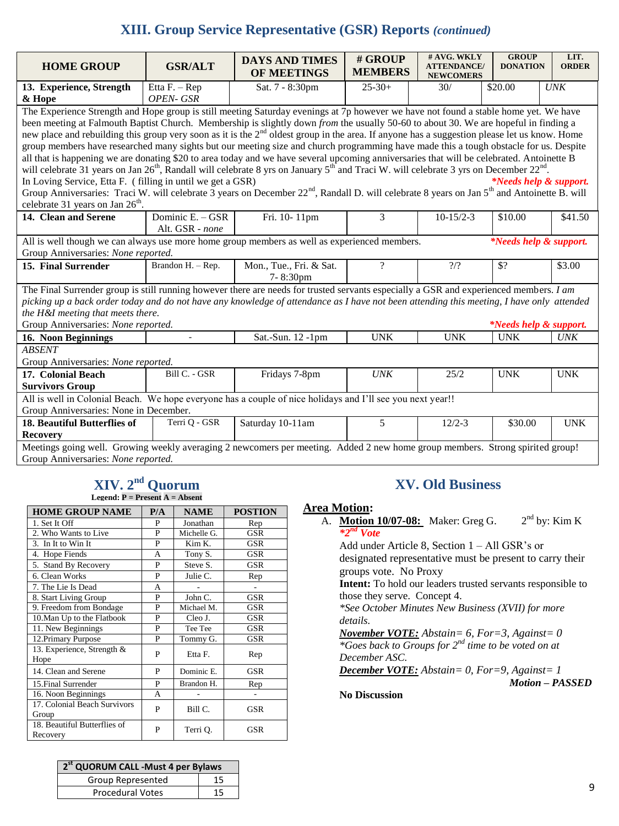# **XIII. Group Service Representative (GSR) Reports** *(continued)*

| <b>HOME GROUP</b>                                                                                                                                                   | <b>GSR/ALT</b>                                                                                                                       | <b>DAYS AND TIMES</b><br><b>OF MEETINGS</b> | # GROUP<br><b>MEMBERS</b> | # AVG. WKLY<br><b>ATTENDANCE/</b><br><b>NEWCOMERS</b> | <b>GROUP</b><br><b>DONATION</b>   | LIT.<br><b>ORDER</b> |  |
|---------------------------------------------------------------------------------------------------------------------------------------------------------------------|--------------------------------------------------------------------------------------------------------------------------------------|---------------------------------------------|---------------------------|-------------------------------------------------------|-----------------------------------|----------------------|--|
| 13. Experience, Strength                                                                                                                                            | Etta F. - Rep                                                                                                                        | Sat. 7 - 8:30pm                             | $25-30+$                  | 30/                                                   | \$20.00                           | <b>UNK</b>           |  |
| & Hope                                                                                                                                                              | OPEN- GSR                                                                                                                            |                                             |                           |                                                       |                                   |                      |  |
|                                                                                                                                                                     | The Experience Strength and Hope group is still meeting Saturday evenings at 7p however we have not found a stable home yet. We have |                                             |                           |                                                       |                                   |                      |  |
| been meeting at Falmouth Baptist Church. Membership is slightly down <i>from</i> the usually 50-60 to about 30. We are hopeful in finding a                         |                                                                                                                                      |                                             |                           |                                                       |                                   |                      |  |
| new place and rebuilding this group very soon as it is the 2 <sup>nd</sup> oldest group in the area. If anyone has a suggestion please let us know. Home            |                                                                                                                                      |                                             |                           |                                                       |                                   |                      |  |
| group members have researched many sights but our meeting size and church programming have made this a tough obstacle for us. Despite                               |                                                                                                                                      |                                             |                           |                                                       |                                   |                      |  |
| all that is happening we are donating \$20 to area today and we have several upcoming anniversaries that will be celebrated. Antoinette B                           |                                                                                                                                      |                                             |                           |                                                       |                                   |                      |  |
| will celebrate 31 years on Jan $26^{th}$ , Randall will celebrate 8 yrs on January $5^{th}$ and Traci W. will celebrate 3 yrs on December $22^{nd}$ .               |                                                                                                                                      |                                             |                           |                                                       |                                   |                      |  |
| In Loving Service, Etta F. (filling in until we get a GSR)                                                                                                          |                                                                                                                                      |                                             |                           |                                                       | <i>*Needs help &amp; support.</i> |                      |  |
| Group Anniversaries: Traci W. will celebrate 3 years on December 22 <sup>nd</sup> , Randall D. will celebrate 8 years on Jan 5 <sup>th</sup> and Antoinette B. will |                                                                                                                                      |                                             |                           |                                                       |                                   |                      |  |
| celebrate 31 years on Jan 26 <sup>th</sup> .                                                                                                                        |                                                                                                                                      |                                             |                           |                                                       |                                   |                      |  |
| 14. Clean and Serene                                                                                                                                                | Dominic E. - GSR                                                                                                                     | Fri. 10-11pm                                | 3                         | $10-15/2-3$                                           | \$10.00                           | \$41.50              |  |
|                                                                                                                                                                     | Alt. GSR - none                                                                                                                      |                                             |                           |                                                       |                                   |                      |  |
| All is well though we can always use more home group members as well as experienced members.<br>*Needs help & support.                                              |                                                                                                                                      |                                             |                           |                                                       |                                   |                      |  |
| Group Anniversaries: None reported.                                                                                                                                 |                                                                                                                                      |                                             |                           |                                                       |                                   |                      |  |
| 15. Final Surrender                                                                                                                                                 | Brandon H. - Rep.                                                                                                                    | Mon., Tue., Fri. & Sat.<br>7-8:30pm         | $\gamma$                  | $\frac{2}{2}$                                         | \$?                               | \$3.00               |  |
| The Final Surrender group is still running however there are needs for trusted servants especially a GSR and experienced members. I am                              |                                                                                                                                      |                                             |                           |                                                       |                                   |                      |  |
| picking up a back order today and do not have any knowledge of attendance as I have not been attending this meeting, I have only attended                           |                                                                                                                                      |                                             |                           |                                                       |                                   |                      |  |
| the H&I meeting that meets there.                                                                                                                                   |                                                                                                                                      |                                             |                           |                                                       |                                   |                      |  |
| Group Anniversaries: None reported.<br><i>*Needs help &amp; support.</i>                                                                                            |                                                                                                                                      |                                             |                           |                                                       |                                   |                      |  |
| 16. Noon Beginnings                                                                                                                                                 |                                                                                                                                      | Sat.-Sun. 12 -1pm                           | <b>UNK</b>                | <b>UNK</b>                                            | <b>UNK</b>                        | <b>UNK</b>           |  |
| <b>ABSENT</b>                                                                                                                                                       |                                                                                                                                      |                                             |                           |                                                       |                                   |                      |  |
| Group Anniversaries: None reported.                                                                                                                                 |                                                                                                                                      |                                             |                           |                                                       |                                   |                      |  |
| 17. Colonial Beach                                                                                                                                                  | Bill C. - GSR                                                                                                                        | Fridays 7-8pm                               | <b>UNK</b>                | 25/2                                                  | <b>UNK</b>                        | <b>UNK</b>           |  |
| <b>Survivors Group</b>                                                                                                                                              |                                                                                                                                      |                                             |                           |                                                       |                                   |                      |  |
| All is well in Colonial Beach. We hope everyone has a couple of nice holidays and I'll see you next year!!                                                          |                                                                                                                                      |                                             |                           |                                                       |                                   |                      |  |
| Group Anniversaries: None in December.                                                                                                                              |                                                                                                                                      |                                             |                           |                                                       |                                   |                      |  |
| 18. Beautiful Butterflies of                                                                                                                                        | Terri Q - GSR                                                                                                                        | Saturday 10-11am                            | 5                         | $12/2-3$                                              | \$30.00                           | <b>UNK</b>           |  |
| <b>Recovery</b>                                                                                                                                                     |                                                                                                                                      |                                             |                           |                                                       |                                   |                      |  |
| Meetings going well. Growing weekly averaging 2 newcomers per meeting. Added 2 new home group members. Strong spirited group!                                       |                                                                                                                                      |                                             |                           |                                                       |                                   |                      |  |
| Group Anniversaries: None reported.                                                                                                                                 |                                                                                                                                      |                                             |                           |                                                       |                                   |                      |  |

# **XIV. 2 nd Quorum Legend: P = Present A = Absent**

| <b>HOME GROUP NAME</b>                   | P/A | <b>NAME</b> | <b>POSTION</b>    |
|------------------------------------------|-----|-------------|-------------------|
| 1. Set It Off                            | P   | Jonathan    | Rep               |
| 2. Who Wants to Live                     | P   | Michelle G. | GSR               |
| 3. In It to Win It                       | P   | Kim K.      | GSR               |
| 4. Hope Fiends                           | A   | Tony S.     | GSR               |
| 5. Stand By Recovery                     | P   | Steve S.    | GSR               |
| 6. Clean Works                           | P   | Julie C.    | Rep               |
| 7. The Lie Is Dead                       | A   |             | $\qquad \qquad -$ |
| 8. Start Living Group                    | P   | John C.     | <b>GSR</b>        |
| 9. Freedom from Bondage                  | P   | Michael M.  | GSR               |
| 10. Man Up to the Flatbook               | P   | Cleo J.     | GSR               |
| 11. New Beginnings                       | P   | Tee Tee     | GSR               |
| 12. Primary Purpose                      | P   | Tommy G.    | GSR               |
| 13. Experience, Strength &<br>Hope       | P   | Etta F.     | Rep               |
| 14. Clean and Serene                     | P   | Dominic E.  | GSR               |
| 15. Final Surrender                      | P   | Brandon H.  | Rep               |
| 16. Noon Beginnings                      | A   |             |                   |
| 17. Colonial Beach Survivors<br>Group    | P   | Bill C.     | GSR               |
| 18. Beautiful Butterflies of<br>Recovery | P   | Terri Q.    | GSR               |

| <b>XV. Old Business</b> |
|-------------------------|
|-------------------------|

### **Area Motion:**

A. **Motion 10/07-08:** Maker: Greg G. 2  $2<sup>nd</sup>$  by: Kim K *\*2nd Vote*

Add under Article 8, Section 1 – All GSR's or designated representative must be present to carry their groups vote. No Proxy

**Intent:** To hold our leaders trusted servants responsible to those they serve. Concept 4.

*\*See October Minutes New Business (XVII) for more details.*

*November VOTE: Abstain= 6, For=3, Against= 0 \*Goes back to Groups for 2nd time to be voted on at December ASC.*

*December VOTE: Abstain= 0, For=9, Against= 1 Motion – PASSED*

### **No Discussion**

| 2 <sup>st</sup> QUORUM CALL - Must 4 per Bylaws |    |
|-------------------------------------------------|----|
| Group Represented                               | 15 |
| <b>Procedural Votes</b>                         | 15 |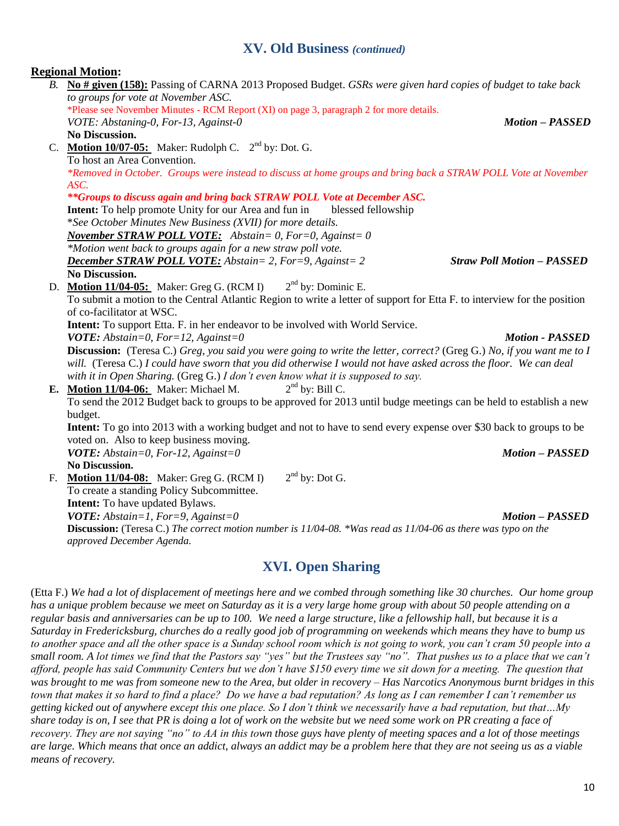### **XV. Old Business** *(continued)*

### **Regional Motion:**

*B.* **No # given (158):** Passing of CARNA 2013 Proposed Budget. *GSRs were given hard copies of budget to take back to groups for vote at November ASC.*  \*Please see November Minutes - RCM Report (XI) on page 3, paragraph 2 for more details. *VOTE: Abstaning-0, For-13, Against-0 Motion – PASSED* **No Discussion.** C. **Motion 10/07-05:** Maker: Rudolph C. 2<sup>nd</sup> by: Dot. G. To host an Area Convention. *\*Removed in October. Groups were instead to discuss at home groups and bring back a STRAW POLL Vote at November ASC. \*\*Groups to discuss again and bring back STRAW POLL Vote at December ASC.* **Intent:** To help promote Unity for our Area and fun in blessed fellowship \**See October Minutes New Business (XVII) for more details. November STRAW POLL VOTE: Abstain= 0, For=0, Against= 0* 

*\*Motion went back to groups again for a new straw poll vote. December STRAW POLL VOTE: Abstain= 2, For=9, Against= 2 Straw Poll Motion – PASSED* **No Discussion.**

D. **Motion 11/04-05:** Maker: Greg G. (RCM I) 2  $2<sup>nd</sup>$  by: Dominic E. To submit a motion to the Central Atlantic Region to write a letter of support for Etta F. to interview for the position of co-facilitator at WSC.

**Intent:** To support Etta. F. in her endeavor to be involved with World Service.

*VOTE: Abstain=0, For=12, Against=0 Motion - PASSED*

**Discussion:** (Teresa C.) *Greg, you said you were going to write the letter, correct?* (Greg G.) *No, if you want me to I will.* (Teresa C.) *I could have sworn that you did otherwise I would not have asked across the floor. We can deal with it in Open Sharing.* (Greg G.) *I don't even know what it is supposed to say.* 

**E. Motion 11/04-06:** Maker: Michael M. 2  $2<sup>nd</sup>$  by: Bill C. To send the 2012 Budget back to groups to be approved for 2013 until budge meetings can be held to establish a new budget. **Intent:** To go into 2013 with a working budget and not to have to send every expense over \$30 back to groups to be

voted on. Also to keep business moving. *VOTE: Abstain=0, For-12, Against=0 Motion – PASSED*

**No Discussion.**

F. **Motion 11/04-08:** Maker: Greg G. (RCM I) 2  $2<sup>nd</sup>$  by: Dot G. To create a standing Policy Subcommittee. **Intent:** To have updated Bylaws. *VOTE: Abstain=1, For=9, Against=0 Motion – PASSED* **Discussion:** (Teresa C.) *The correct motion number is 11/04-08. \*Was read as 11/04-06 as there was typo on the approved December Agenda.*

# **XVI. Open Sharing**

(Etta F.) *We had a lot of displacement of meetings here and we combed through something like 30 churches. Our home group has a unique problem because we meet on Saturday as it is a very large home group with about 50 people attending on a regular basis and anniversaries can be up to 100. We need a large structure, like a fellowship hall, but because it is a Saturday in Fredericksburg, churches do a really good job of programming on weekends which means they have to bump us to another space and all the other space is a Sunday school room which is not going to work, you can't cram 50 people into a small room. A lot times we find that the Pastors say "yes" but the Trustees say "no". That pushes us to a place that we can't afford, people has said Community Centers but we don't have \$150 every time we sit down for a meeting. The question that was brought to me was from someone new to the Area, but older in recovery – Has Narcotics Anonymous burnt bridges in this town that makes it so hard to find a place? Do we have a bad reputation? As long as I can remember I can't remember us getting kicked out of anywhere except this one place. So I don't think we necessarily have a bad reputation, but that…My share today is on, I see that PR is doing a lot of work on the website but we need some work on PR creating a face of recovery. They are not saying "no" to AA in this town those guys have plenty of meeting spaces and a lot of those meetings are large. Which means that once an addict, always an addict may be a problem here that they are not seeing us as a viable means of recovery.*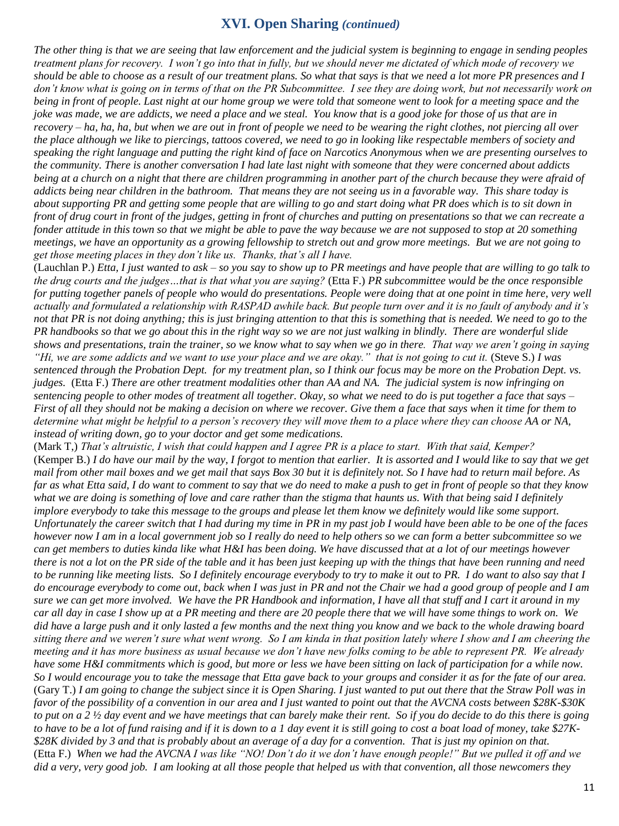# **XVI. Open Sharing** *(continued)*

*The other thing is that we are seeing that law enforcement and the judicial system is beginning to engage in sending peoples treatment plans for recovery. I won't go into that in fully, but we should never me dictated of which mode of recovery we should be able to choose as a result of our treatment plans. So what that says is that we need a lot more PR presences and I don't know what is going on in terms of that on the PR Subcommittee. I see they are doing work, but not necessarily work on being in front of people. Last night at our home group we were told that someone went to look for a meeting space and the joke was made, we are addicts, we need a place and we steal. You know that is a good joke for those of us that are in recovery – ha, ha, ha, but when we are out in front of people we need to be wearing the right clothes, not piercing all over the place although we like to piercings, tattoos covered, we need to go in looking like respectable members of society and speaking the right language and putting the right kind of face on Narcotics Anonymous when we are presenting ourselves to the community. There is another conversation I had late last night with someone that they were concerned about addicts being at a church on a night that there are children programming in another part of the church because they were afraid of addicts being near children in the bathroom. That means they are not seeing us in a favorable way. This share today is about supporting PR and getting some people that are willing to go and start doing what PR does which is to sit down in front of drug court in front of the judges, getting in front of churches and putting on presentations so that we can recreate a fonder attitude in this town so that we might be able to pave the way because we are not supposed to stop at 20 something meetings, we have an opportunity as a growing fellowship to stretch out and grow more meetings. But we are not going to get those meeting places in they don't like us. Thanks, that's all I have.*

(Lauchlan P.) *Etta, I just wanted to ask – so you say to show up to PR meetings and have people that are willing to go talk to the drug courts and the judges…that is that what you are saying?* (Etta F.) *PR subcommittee would be the once responsible for putting together panels of people who would do presentations. People were doing that at one point in time here, very well actually and formulated a relationship with RASPAD awhile back. But people turn over and it is no fault of anybody and it's not that PR is not doing anything; this is just bringing attention to that this is something that is needed. We need to go to the PR handbooks so that we go about this in the right way so we are not just walking in blindly. There are wonderful slide shows and presentations, train the trainer, so we know what to say when we go in there. That way we aren't going in saying "Hi, we are some addicts and we want to use your place and we are okay." that is not going to cut it.* (Steve S.) *I was sentenced through the Probation Dept. for my treatment plan, so I think our focus may be more on the Probation Dept. vs. judges.* (Etta F.) *There are other treatment modalities other than AA and NA. The judicial system is now infringing on sentencing people to other modes of treatment all together. Okay, so what we need to do is put together a face that says – First of all they should not be making a decision on where we recover. Give them a face that says when it time for them to determine what might be helpful to a person's recovery they will move them to a place where they can choose AA or NA, instead of writing down, go to your doctor and get some medications.* 

(Mark T,) *That's altruistic, I wish that could happen and I agree PR is a place to start. With that said, Kemper?*  (Kemper B.) *I do have our mail by the way, I forgot to mention that earlier. It is assorted and I would like to say that we get mail from other mail boxes and we get mail that says Box 30 but it is definitely not. So I have had to return mail before. As far as what Etta said, I do want to comment to say that we do need to make a push to get in front of people so that they know what we are doing is something of love and care rather than the stigma that haunts us. With that being said I definitely implore everybody to take this message to the groups and please let them know we definitely would like some support. Unfortunately the career switch that I had during my time in PR in my past job I would have been able to be one of the faces however now I am in a local government job so I really do need to help others so we can form a better subcommittee so we can get members to duties kinda like what H&I has been doing. We have discussed that at a lot of our meetings however there is not a lot on the PR side of the table and it has been just keeping up with the things that have been running and need to be running like meeting lists. So I definitely encourage everybody to try to make it out to PR. I do want to also say that I do encourage everybody to come out, back when I was just in PR and not the Chair we had a good group of people and I am sure we can get more involved. We have the PR Handbook and information, I have all that stuff and I cart it around in my car all day in case I show up at a PR meeting and there are 20 people there that we will have some things to work on. We did have a large push and it only lasted a few months and the next thing you know and we back to the whole drawing board sitting there and we weren't sure what went wrong. So I am kinda in that position lately where I show and I am cheering the meeting and it has more business as usual because we don't have new folks coming to be able to represent PR. We already have some H&I commitments which is good, but more or less we have been sitting on lack of participation for a while now. So I would encourage you to take the message that Etta gave back to your groups and consider it as for the fate of our area.*  (Gary T.) *I am going to change the subject since it is Open Sharing. I just wanted to put out there that the Straw Poll was in favor of the possibility of a convention in our area and I just wanted to point out that the AVCNA costs between \$28K-\$30K to put on a 2 ½ day event and we have meetings that can barely make their rent. So if you do decide to do this there is going to have to be a lot of fund raising and if it is down to a 1 day event it is still going to cost a boat load of money, take \$27K- \$28K divided by 3 and that is probably about an average of a day for a convention. That is just my opinion on that.*  (Etta F.) *When we had the AVCNA I was like "NO! Don't do it we don't have enough people!" But we pulled it off and we did a very, very good job. I am looking at all those people that helped us with that convention, all those newcomers they*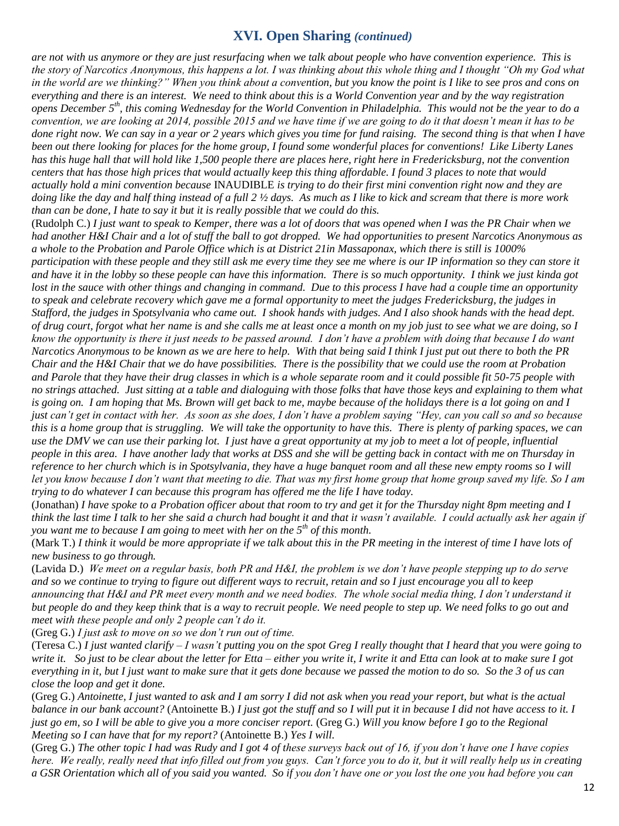# **XVI. Open Sharing** *(continued)*

*are not with us anymore or they are just resurfacing when we talk about people who have convention experience. This is the story of Narcotics Anonymous, this happens a lot. I was thinking about this whole thing and I thought "Oh my God what in the world are we thinking?" When you think about a convention, but you know the point is I like to see pros and cons on everything and there is an interest. We need to think about this is a World Convention year and by the way registration opens December 5th, this coming Wednesday for the World Convention in Philadelphia. This would not be the year to do a convention, we are looking at 2014, possible 2015 and we have time if we are going to do it that doesn't mean it has to be done right now. We can say in a year or 2 years which gives you time for fund raising. The second thing is that when I have been out there looking for places for the home group, I found some wonderful places for conventions! Like Liberty Lanes has this huge hall that will hold like 1,500 people there are places here, right here in Fredericksburg, not the convention centers that has those high prices that would actually keep this thing affordable. I found 3 places to note that would actually hold a mini convention because* INAUDIBLE *is trying to do their first mini convention right now and they are doing like the day and half thing instead of a full 2 ½ days. As much as I like to kick and scream that there is more work than can be done, I hate to say it but it is really possible that we could do this.* 

(Rudolph C.) *I just want to speak to Kemper, there was a lot of doors that was opened when I was the PR Chair when we had another H&I Chair and a lot of stuff the ball to got dropped. We had opportunities to present Narcotics Anonymous as a whole to the Probation and Parole Office which is at District 21in Massaponax, which there is still is 1000% participation with these people and they still ask me every time they see me where is our IP information so they can store it and have it in the lobby so these people can have this information. There is so much opportunity. I think we just kinda got*  lost in the sauce with other things and changing in command. Due to this process I have had a couple time an opportunity *to speak and celebrate recovery which gave me a formal opportunity to meet the judges Fredericksburg, the judges in Stafford, the judges in Spotsylvania who came out. I shook hands with judges. And I also shook hands with the head dept. of drug court, forgot what her name is and she calls me at least once a month on my job just to see what we are doing, so I know the opportunity is there it just needs to be passed around. I don't have a problem with doing that because I do want Narcotics Anonymous to be known as we are here to help. With that being said I think I just put out there to both the PR Chair and the H&I Chair that we do have possibilities. There is the possibility that we could use the room at Probation and Parole that they have their drug classes in which is a whole separate room and it could possible fit 50-75 people with no strings attached. Just sitting at a table and dialoguing with those folks that have those keys and explaining to them what is going on. I am hoping that Ms. Brown will get back to me, maybe because of the holidays there is a lot going on and I just can't get in contact with her. As soon as she does, I don't have a problem saying "Hey, can you call so and so because this is a home group that is struggling. We will take the opportunity to have this. There is plenty of parking spaces, we can use the DMV we can use their parking lot. I just have a great opportunity at my job to meet a lot of people, influential people in this area. I have another lady that works at DSS and she will be getting back in contact with me on Thursday in reference to her church which is in Spotsylvania, they have a huge banquet room and all these new empty rooms so I will let you know because I don't want that meeting to die. That was my first home group that home group saved my life. So I am trying to do whatever I can because this program has offered me the life I have today.* 

(Jonathan) *I have spoke to a Probation officer about that room to try and get it for the Thursday night 8pm meeting and I think the last time I talk to her she said a church had bought it and that it wasn't available. I could actually ask her again if you want me to because I am going to meet with her on the 5<sup>th</sup> of this month.* 

(Mark T.) *I think it would be more appropriate if we talk about this in the PR meeting in the interest of time I have lots of new business to go through.*

(Lavida D.) *We meet on a regular basis, both PR and H&I, the problem is we don't have people stepping up to do serve and so we continue to trying to figure out different ways to recruit, retain and so I just encourage you all to keep announcing that H&I and PR meet every month and we need bodies. The whole social media thing, I don't understand it but people do and they keep think that is a way to recruit people. We need people to step up. We need folks to go out and meet with these people and only 2 people can't do it.* 

(Greg G.) *I just ask to move on so we don't run out of time.* 

(Teresa C.) *I just wanted clarify – I wasn't putting you on the spot Greg I really thought that I heard that you were going to write it. So just to be clear about the letter for Etta – either you write it, I write it and Etta can look at to make sure I got everything in it, but I just want to make sure that it gets done because we passed the motion to do so. So the 3 of us can close the loop and get it done.* 

(Greg G.) *Antoinette, I just wanted to ask and I am sorry I did not ask when you read your report, but what is the actual balance in our bank account?* (Antoinette B.) *I just got the stuff and so I will put it in because I did not have access to it. I just go em, so I will be able to give you a more conciser report.* (Greg G.) *Will you know before I go to the Regional Meeting so I can have that for my report?* (Antoinette B.) *Yes I will.* 

(Greg G.) *The other topic I had was Rudy and I got 4 of these surveys back out of 16, if you don't have one I have copies here. We really, really need that info filled out from you guys. Can't force you to do it, but it will really help us in creating a GSR Orientation which all of you said you wanted. So if you don't have one or you lost the one you had before you can*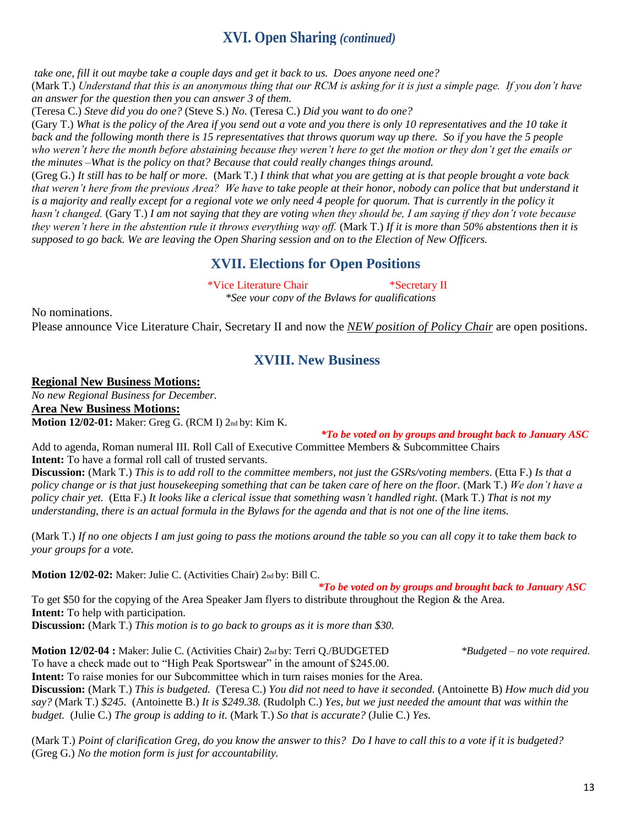*take one, fill it out maybe take a couple days and get it back to us. Does anyone need one?*

(Mark T.) *Understand that this is an anonymous thing that our RCM is asking for it is just a simple page. If you don't have an answer for the question then you can answer 3 of them.*

(Teresa C.) *Steve did you do one?* (Steve S.) *No.* (Teresa C.) *Did you want to do one?*

(Gary T.) *What is the policy of the Area if you send out a vote and you there is only 10 representatives and the 10 take it back and the following month there is 15 representatives that throws quorum way up there. So if you have the 5 people who weren't here the month before abstaining because they weren't here to get the motion or they don't get the emails or the minutes –What is the policy on that? Because that could really changes things around.*

XVI. Open Sharing (continued)<br>
25 and get it hock to us. Does anyone need one?<br>
25 and get it hock to us. Does anyone need one?<br>
25 and get it hock to us. Does anyone need one?<br>
25 and it are also for the states for it is (Greg G.) *It still has to be half or more.* (Mark T.) *I think that what you are getting at is that people brought a vote back that weren't here from the previous Area? We have to take people at their honor, nobody can police that but understand it*  is a majority and really except for a regional vote we only need 4 people for quorum. That is currently in the policy it *hasn't changed.* (Gary T.) *I am not saying that they are voting when they should be, I am saying if they don't vote because they weren't here in the abstention rule it throws everything way off.* (Mark T.) If *it is more than 50% abstentions then it is supposed to go back. We are leaving the Open Sharing session and on to the Election of New Officers.*

# **XVII. Elections for Open Positions**

\*Vice Literature Chair \*Secretary II

*\*See your copy of the Bylaws for qualifications*

No nominations.

Please announce Vice Literature Chair, Secretary II and now the *NEW position of Policy Chair* are open positions.

# **XVIII. New Business**

# **Regional New Business Motions:**

*No new Regional Business for December.*

**Area New Business Motions:**

**Motion 12/02-01:** Maker: Greg G. (RCM I) 2nd by: Kim K.

*\*To be voted on by groups and brought back to January ASC*

Add to agenda, Roman numeral III. Roll Call of Executive Committee Members & Subcommittee Chairs **Intent:** To have a formal roll call of trusted servants.

**Discussion:** (Mark T.) *This is to add roll to the committee members, not just the GSRs/voting members.* (Etta F.) *Is that a policy change or is that just housekeeping something that can be taken care of here on the floor.* (Mark T.) *We don't have a policy chair yet.* (Etta F.) *It looks like a clerical issue that something wasn't handled right.* (Mark T.) *That is not my understanding, there is an actual formula in the Bylaws for the agenda and that is not one of the line items.* 

(Mark T.) *If no one objects I am just going to pass the motions around the table so you can all copy it to take them back to your groups for a vote.* 

**Motion 12/02-02:** Maker: Julie C. (Activities Chair) 2nd by: Bill C.

 *\*To be voted on by groups and brought back to January ASC* To get \$50 for the copying of the Area Speaker Jam flyers to distribute throughout the Region & the Area. **Intent:** To help with participation.

**Discussion:** (Mark T.) *This motion is to go back to groups as it is more than \$30.*

**Motion 12/02-04 :** Maker: Julie C. (Activities Chair) 2nd by: Terri Q./BUDGETED *\*Budgeted – no vote required.* To have a check made out to "High Peak Sportswear" in the amount of \$245.00.

**Intent:** To raise monies for our Subcommittee which in turn raises monies for the Area.

**Discussion:** (Mark T.) *This is budgeted.* (Teresa C.) *You did not need to have it seconded.* (Antoinette B) *How much did you say?* (Mark T.) *\$245.* (Antoinette B.) *It is \$249.38.* (Rudolph C.) *Yes, but we just needed the amount that was within the budget.* (Julie C.) *The group is adding to it.* (Mark T.) *So that is accurate?* (Julie C.) *Yes.* 

(Mark T.) *Point of clarification Greg, do you know the answer to this? Do I have to call this to a vote if it is budgeted?*  (Greg G.) *No the motion form is just for accountability.*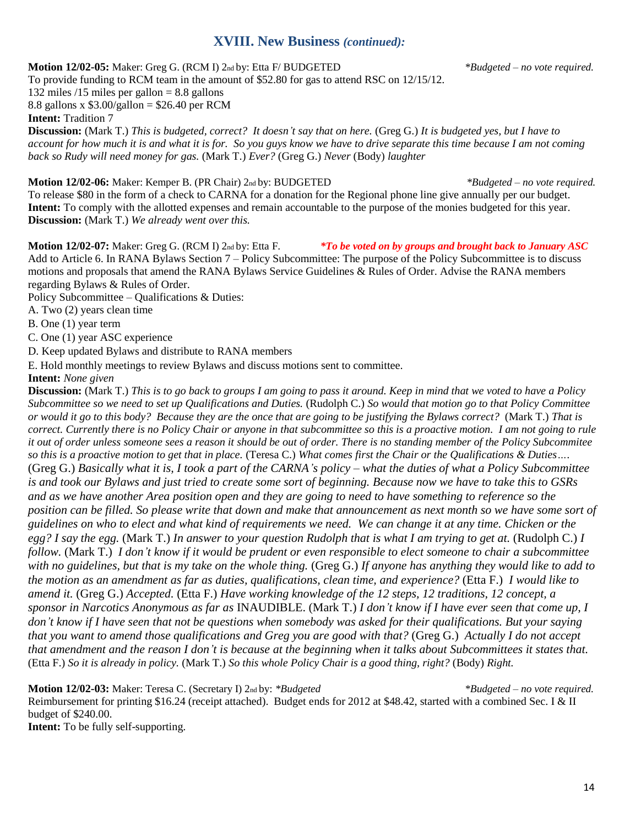# **XVIII. New Business** *(continued):*

### **Motion 12/02-05:** Maker: Greg G. (RCM I) 2nd by: Etta F/ BUDGETED *\*Budgeted – no vote required.*

To provide funding to RCM team in the amount of \$52.80 for gas to attend RSC on 12/15/12.

132 miles  $/15$  miles per gallon = 8.8 gallons

8.8 gallons x  $$3.00/gallon = $26.40$  per RCM

**Intent:** Tradition 7

**Discussion:** (Mark T.) *This is budgeted, correct? It doesn't say that on here.* (Greg G.) *It is budgeted yes, but I have to account for how much it is and what it is for. So you guys know we have to drive separate this time because I am not coming back so Rudy will need money for gas.* (Mark T.) *Ever?* (Greg G.) *Never* (Body) *laughter* 

# **Motion 12/02-06:** Maker: Kemper B. (PR Chair) 2nd by: BUDGETED *\*Budgeted – no vote required.*

To release \$80 in the form of a check to CARNA for a donation for the Regional phone line give annually per our budget. **Intent:** To comply with the allotted expenses and remain accountable to the purpose of the monies budgeted for this year. **Discussion:** (Mark T.) *We already went over this.*

**Motion 12/02-07:** Maker: Greg G. (RCM I) 2nd by: Etta F. *\*To be voted on by groups and brought back to January ASC* Add to Article 6. In RANA Bylaws Section 7 – Policy Subcommittee: The purpose of the Policy Subcommittee is to discuss motions and proposals that amend the RANA Bylaws Service Guidelines & Rules of Order. Advise the RANA members regarding Bylaws & Rules of Order.

Policy Subcommittee – Qualifications & Duties:

A. Two (2) years clean time

B. One (1) year term

C. One (1) year ASC experience

D. Keep updated Bylaws and distribute to RANA members

E. Hold monthly meetings to review Bylaws and discuss motions sent to committee.

**Intent:** *None given* 

**Discussion:** (Mark T.) *This is to go back to groups I am going to pass it around. Keep in mind that we voted to have a Policy Subcommittee so we need to set up Qualifications and Duties.* (Rudolph C.) *So would that motion go to that Policy Committee or would it go to this body? Because they are the once that are going to be justifying the Bylaws correct?* (Mark T.) *That is correct. Currently there is no Policy Chair or anyone in that subcommittee so this is a proactive motion. I am not going to rule it out of order unless someone sees a reason it should be out of order. There is no standing member of the Policy Subcommitee so this is a proactive motion to get that in place.* (Teresa C.) *What comes first the Chair or the Qualifications & Duties….* (Greg G.) *Basically what it is, I took a part of the CARNA's policy – what the duties of what a Policy Subcommittee is and took our Bylaws and just tried to create some sort of beginning. Because now we have to take this to GSRs and as we have another Area position open and they are going to need to have something to reference so the position can be filled. So please write that down and make that announcement as next month so we have some sort of guidelines on who to elect and what kind of requirements we need. We can change it at any time. Chicken or the egg? I say the egg.* (Mark T.) *In answer to your question Rudolph that is what I am trying to get at.* (Rudolph C.) *I follow.* (Mark T.) *I don't know if it would be prudent or even responsible to elect someone to chair a subcommittee with no guidelines, but that is my take on the whole thing.* (Greg G.) *If anyone has anything they would like to add to the motion as an amendment as far as duties, qualifications, clean time, and experience?* (Etta F.) *I would like to amend it.* (Greg G.) *Accepted.* (Etta F.) *Have working knowledge of the 12 steps, 12 traditions, 12 concept, a sponsor in Narcotics Anonymous as far as* INAUDIBLE. (Mark T.) *I don't know if I have ever seen that come up, I don't know if I have seen that not be questions when somebody was asked for their qualifications. But your saying that you want to amend those qualifications and Greg you are good with that?* (Greg G.) *Actually I do not accept that amendment and the reason I don't is because at the beginning when it talks about Subcommittees it states that.*  (Etta F.) *So it is already in policy.* (Mark T.) *So this whole Policy Chair is a good thing, right?* (Body) *Right.* 

**Motion 12/02-03:** Maker: Teresa C. (Secretary I) 2nd by: *\*Budgeted \*Budgeted – no vote required.*

Reimbursement for printing \$16.24 (receipt attached). Budget ends for 2012 at \$48.42, started with a combined Sec. I & II

budget of \$240.00.

**Intent:** To be fully self-supporting.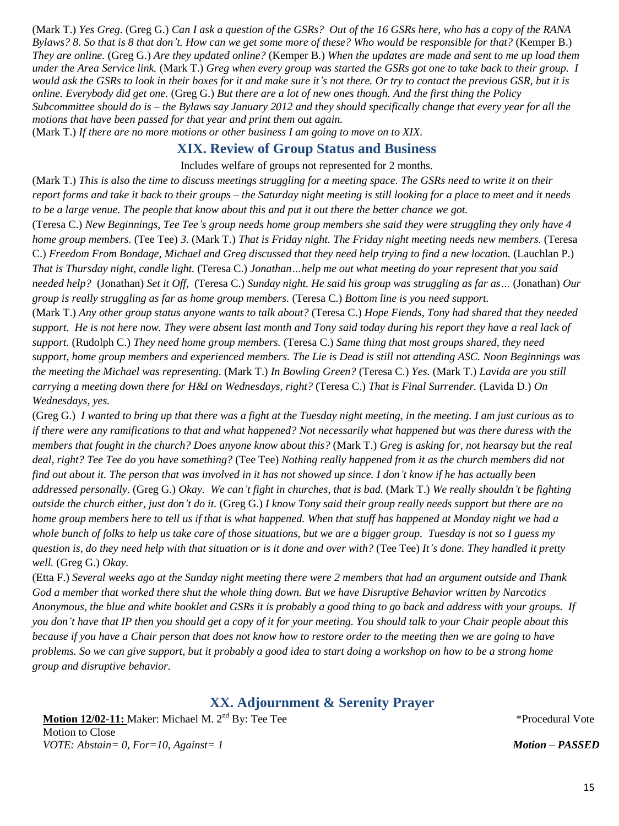(Mark T.) *Yes Greg.* (Greg G.) *Can I ask a question of the GSRs? Out of the 16 GSRs here, who has a copy of the RANA Bylaws? 8. So that is 8 that don't. How can we get some more of these? Who would be responsible for that?* (Kemper B.) *They are online.* (Greg G.) *Are they updated online?* (Kemper B.) *When the updates are made and sent to me up load them under the Area Service link.* (Mark T.) *Greg when every group was started the GSRs got one to take back to their group. I would ask the GSRs to look in their boxes for it and make sure it's not there. Or try to contact the previous GSR, but it is online. Everybody did get one.* (Greg G.) *But there are a lot of new ones though. And the first thing the Policy Subcommittee should do is – the Bylaws say January 2012 and they should specifically change that every year for all the motions that have been passed for that year and print them out again.* 

(Mark T.) *If there are no more motions or other business I am going to move on to XIX.*

# **XIX. Review of Group Status and Business**

### Includes welfare of groups not represented for 2 months.

(Mark T.) *This is also the time to discuss meetings struggling for a meeting space. The GSRs need to write it on their report forms and take it back to their groups – the Saturday night meeting is still looking for a place to meet and it needs to be a large venue. The people that know about this and put it out there the better chance we got.* 

(Teresa C.) *New Beginnings, Tee Tee's group needs home group members she said they were struggling they only have 4 home group members.* (Tee Tee) *3.* (Mark T.) *That is Friday night. The Friday night meeting needs new members.* (Teresa C.) *Freedom From Bondage, Michael and Greg discussed that they need help trying to find a new location.* (Lauchlan P.) *That is Thursday night, candle light.* (Teresa C.) *Jonathan…help me out what meeting do your represent that you said needed help?* (Jonathan) *Set it Off,* (Teresa C.) *Sunday night. He said his group was struggling as far as…* (Jonathan) *Our group is really struggling as far as home group members.* (Teresa C.) *Bottom line is you need support.* 

(Mark T.) *Any other group status anyone wants to talk about?* (Teresa C.) *Hope Fiends, Tony had shared that they needed support. He is not here now. They were absent last month and Tony said today during his report they have a real lack of support.* (Rudolph C.) *They need home group members.* (Teresa C.) *Same thing that most groups shared, they need support, home group members and experienced members. The Lie is Dead is still not attending ASC. Noon Beginnings was the meeting the Michael was representing.* (Mark T.) *In Bowling Green?* (Teresa C.) *Yes.* (Mark T.) *Lavida are you still carrying a meeting down there for H&I on Wednesdays, right?* (Teresa C.) *That is Final Surrender.* (Lavida D.) *On Wednesdays, yes.* 

(Greg G.) *I wanted to bring up that there was a fight at the Tuesday night meeting, in the meeting. I am just curious as to if there were any ramifications to that and what happened? Not necessarily what happened but was there duress with the members that fought in the church? Does anyone know about this?* (Mark T.) *Greg is asking for, not hearsay but the real deal, right? Tee Tee do you have something?* (Tee Tee) *Nothing really happened from it as the church members did not find out about it. The person that was involved in it has not showed up since. I don't know if he has actually been addressed personally.* (Greg G.) *Okay. We can't fight in churches, that is bad.* (Mark T.) *We really shouldn't be fighting outside the church either, just don't do it.* (Greg G.) *I know Tony said their group really needs support but there are no home group members here to tell us if that is what happened. When that stuff has happened at Monday night we had a whole bunch of folks to help us take care of those situations, but we are a bigger group. Tuesday is not so I guess my question is, do they need help with that situation or is it done and over with?* (Tee Tee) *It's done. They handled it pretty well.* (Greg G.) *Okay.* 

(Etta F.) *Several weeks ago at the Sunday night meeting there were 2 members that had an argument outside and Thank God a member that worked there shut the whole thing down. But we have Disruptive Behavior written by Narcotics Anonymous, the blue and white booklet and GSRs it is probably a good thing to go back and address with your groups. If you don't have that IP then you should get a copy of it for your meeting. You should talk to your Chair people about this because if you have a Chair person that does not know how to restore order to the meeting then we are going to have problems. So we can give support, but it probably a good idea to start doing a workshop on how to be a strong home group and disruptive behavior.* 

# **XX. Adjournment & Serenity Prayer**

**Motion 12/02-11:** Maker: Michael M. 2<sup>nd</sup> By: Tee Tee **the absolute of the contract of the Contract V** \*Procedural Vote Motion to Close *VOTE: Abstain= 0, For=10, Against= 1 Motion – PASSED*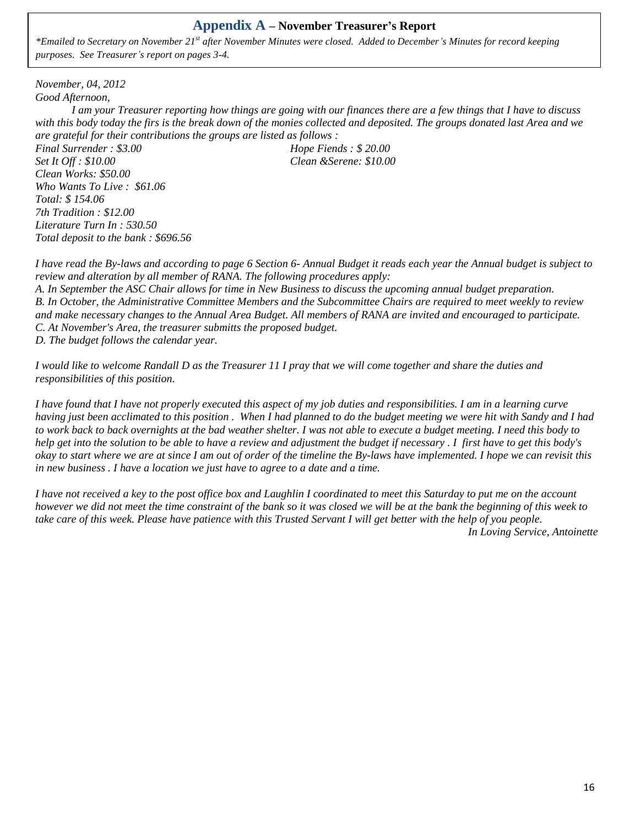# **Appendix A – November Treasurer's Report**

*\*Emailed to Secretary on November 21st after November Minutes were closed. Added to December's Minutes for record keeping purposes. See Treasurer's report on pages 3-4.*

*November, 04, 2012 Good Afternoon,*

*I am your Treasurer reporting how things are going with our finances there are a few things that I have to discuss with this body today the firs is the break down of the monies collected and deposited. The groups donated last Area and we are grateful for their contributions the groups are listed as follows :*

*Final Surrender : \$3.00 Hope Fiends : \$ 20.00 Set It Off : \$10.00 Clean &Serene: \$10.00 Clean Works: \$50.00 Who Wants To Live : \$61.06 Total: \$ 154.06 7th Tradition : \$12.00 Literature Turn In : 530.50 Total deposit to the bank : \$696.56*

*I have read the By-laws and according to page 6 Section 6- Annual Budget it reads each year the Annual budget is subject to review and alteration by all member of RANA. The following procedures apply:*

*A. In September the ASC Chair allows for time in New Business to discuss the upcoming annual budget preparation. B. In October, the Administrative Committee Members and the Subcommittee Chairs are required to meet weekly to review and make necessary changes to the Annual Area Budget. All members of RANA are invited and encouraged to participate. C. At November's Area, the treasurer submitts the proposed budget.*

*D. The budget follows the calendar year.*

*I would like to welcome Randall D as the Treasurer 11 I pray that we will come together and share the duties and responsibilities of this position.*

*I have found that I have not properly executed this aspect of my job duties and responsibilities. I am in a learning curve having just been acclimated to this position . When I had planned to do the budget meeting we were hit with Sandy and I had to work back to back overnights at the bad weather shelter. I was not able to execute a budget meeting. I need this body to help get into the solution to be able to have a review and adjustment the budget if necessary . I first have to get this body's okay to start where we are at since I am out of order of the timeline the By-laws have implemented. I hope we can revisit this in new business . I have a location we just have to agree to a date and a time.*

*I have not received a key to the post office box and Laughlin I coordinated to meet this Saturday to put me on the account however we did not meet the time constraint of the bank so it was closed we will be at the bank the beginning of this week to take care of this week. Please have patience with this Trusted Servant I will get better with the help of you people. In Loving Service, Antoinette*